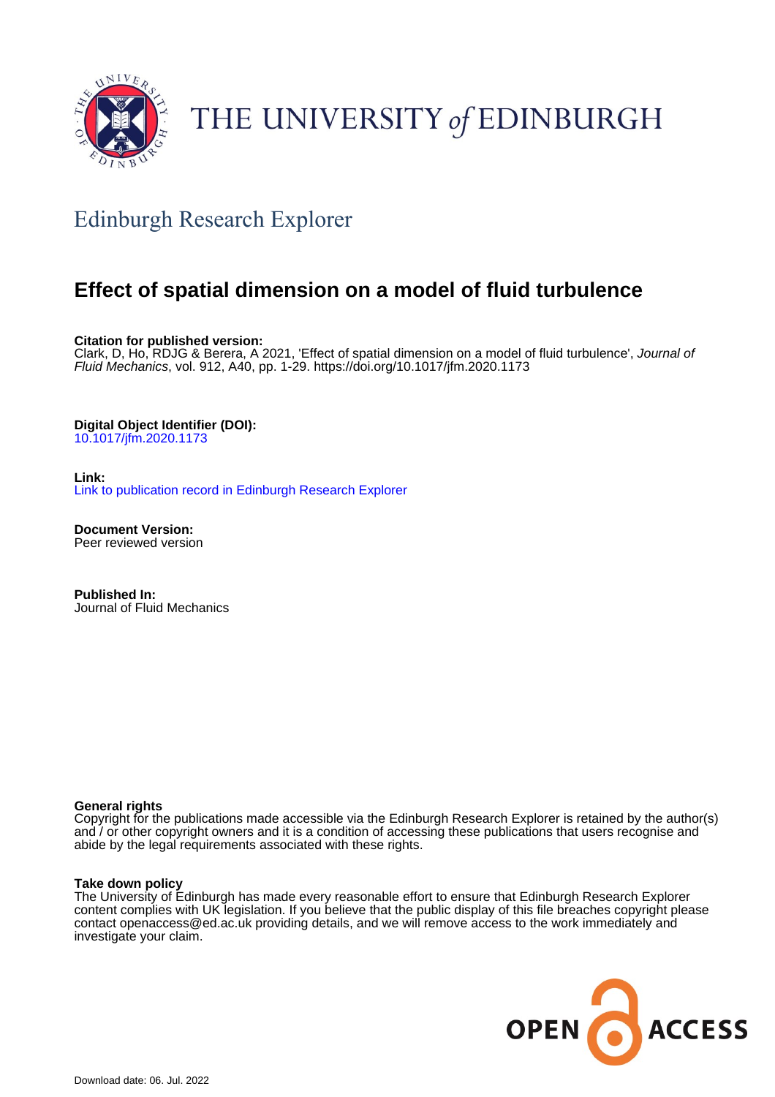

# THE UNIVERSITY of EDINBURGH

# Edinburgh Research Explorer

## **Effect of spatial dimension on a model of fluid turbulence**

**Citation for published version:**

Clark, D, Ho, RDJG & Berera, A 2021, 'Effect of spatial dimension on a model of fluid turbulence', Journal of Fluid Mechanics, vol. 912, A40, pp. 1-29. <https://doi.org/10.1017/jfm.2020.1173>

### **Digital Object Identifier (DOI):**

[10.1017/jfm.2020.1173](https://doi.org/10.1017/jfm.2020.1173)

**Link:** [Link to publication record in Edinburgh Research Explorer](https://www.research.ed.ac.uk/en/publications/f9746579-efbc-445e-ac33-b0d4a9dd28d1)

**Document Version:** Peer reviewed version

**Published In:** Journal of Fluid Mechanics

#### **General rights**

Copyright for the publications made accessible via the Edinburgh Research Explorer is retained by the author(s) and / or other copyright owners and it is a condition of accessing these publications that users recognise and abide by the legal requirements associated with these rights.

#### **Take down policy**

The University of Edinburgh has made every reasonable effort to ensure that Edinburgh Research Explorer content complies with UK legislation. If you believe that the public display of this file breaches copyright please contact openaccess@ed.ac.uk providing details, and we will remove access to the work immediately and investigate your claim.

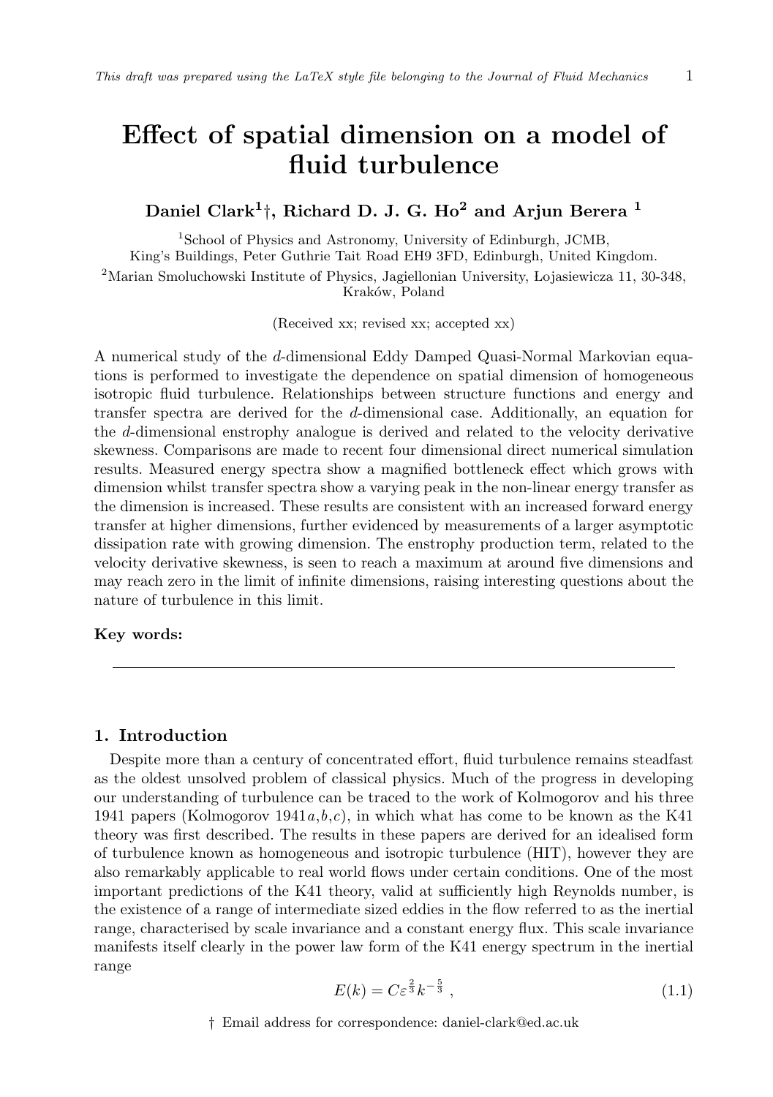### Effect of spatial dimension on a model of fluid turbulence

### Daniel Clark<sup>1</sup>†, Richard D. J. G. Ho<sup>2</sup> and Arjun Berera <sup>1</sup>

<sup>1</sup>School of Physics and Astronomy, University of Edinburgh, JCMB, King's Buildings, Peter Guthrie Tait Road EH9 3FD, Edinburgh, United Kingdom. <sup>2</sup>Marian Smoluchowski Institute of Physics, Jagiellonian University, Lojasiewicza 11, 30-348, Kraków, Poland

(Received xx; revised xx; accepted xx)

A numerical study of the d-dimensional Eddy Damped Quasi-Normal Markovian equations is performed to investigate the dependence on spatial dimension of homogeneous isotropic fluid turbulence. Relationships between structure functions and energy and transfer spectra are derived for the d-dimensional case. Additionally, an equation for the d-dimensional enstrophy analogue is derived and related to the velocity derivative skewness. Comparisons are made to recent four dimensional direct numerical simulation results. Measured energy spectra show a magnified bottleneck effect which grows with dimension whilst transfer spectra show a varying peak in the non-linear energy transfer as the dimension is increased. These results are consistent with an increased forward energy transfer at higher dimensions, further evidenced by measurements of a larger asymptotic dissipation rate with growing dimension. The enstrophy production term, related to the velocity derivative skewness, is seen to reach a maximum at around five dimensions and may reach zero in the limit of infinite dimensions, raising interesting questions about the nature of turbulence in this limit.

#### Key words:

#### 1. Introduction

Despite more than a century of concentrated effort, fluid turbulence remains steadfast as the oldest unsolved problem of classical physics. Much of the progress in developing our understanding of turbulence can be traced to the work of Kolmogorov and his three 1941 papers (Kolmogorov  $1941a,b,c$ ), in which what has come to be known as the K41 theory was first described. The results in these papers are derived for an idealised form of turbulence known as homogeneous and isotropic turbulence (HIT), however they are also remarkably applicable to real world flows under certain conditions. One of the most important predictions of the K41 theory, valid at sufficiently high Reynolds number, is the existence of a range of intermediate sized eddies in the flow referred to as the inertial range, characterised by scale invariance and a constant energy flux. This scale invariance manifests itself clearly in the power law form of the K41 energy spectrum in the inertial range

$$
E(k) = C\varepsilon^{\frac{2}{3}}k^{-\frac{5}{3}},\tag{1.1}
$$

† Email address for correspondence: daniel-clark@ed.ac.uk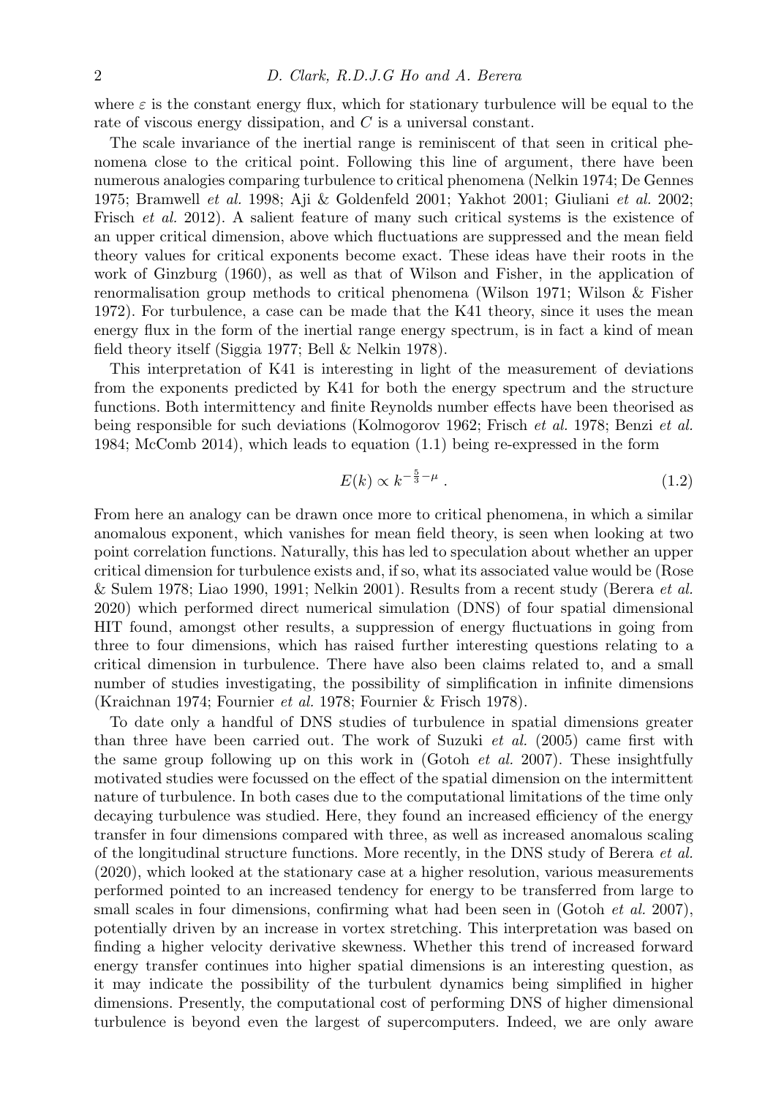where  $\varepsilon$  is the constant energy flux, which for stationary turbulence will be equal to the rate of viscous energy dissipation, and C is a universal constant.

The scale invariance of the inertial range is reminiscent of that seen in critical phenomena close to the critical point. Following this line of argument, there have been numerous analogies comparing turbulence to critical phenomena (Nelkin 1974; De Gennes 1975; Bramwell et al. 1998; Aji & Goldenfeld 2001; Yakhot 2001; Giuliani et al. 2002; Frisch *et al.* 2012). A salient feature of many such critical systems is the existence of an upper critical dimension, above which fluctuations are suppressed and the mean field theory values for critical exponents become exact. These ideas have their roots in the work of Ginzburg (1960), as well as that of Wilson and Fisher, in the application of renormalisation group methods to critical phenomena (Wilson 1971; Wilson & Fisher 1972). For turbulence, a case can be made that the K41 theory, since it uses the mean energy flux in the form of the inertial range energy spectrum, is in fact a kind of mean field theory itself (Siggia 1977; Bell & Nelkin 1978).

This interpretation of K41 is interesting in light of the measurement of deviations from the exponents predicted by K41 for both the energy spectrum and the structure functions. Both intermittency and finite Reynolds number effects have been theorised as being responsible for such deviations (Kolmogorov 1962; Frisch et al. 1978; Benzi et al. 1984; McComb 2014), which leads to equation (1.1) being re-expressed in the form

$$
E(k) \propto k^{-\frac{5}{3} - \mu} \tag{1.2}
$$

From here an analogy can be drawn once more to critical phenomena, in which a similar anomalous exponent, which vanishes for mean field theory, is seen when looking at two point correlation functions. Naturally, this has led to speculation about whether an upper critical dimension for turbulence exists and, if so, what its associated value would be (Rose & Sulem 1978; Liao 1990, 1991; Nelkin 2001). Results from a recent study (Berera *et al.* 2020) which performed direct numerical simulation (DNS) of four spatial dimensional HIT found, amongst other results, a suppression of energy fluctuations in going from three to four dimensions, which has raised further interesting questions relating to a critical dimension in turbulence. There have also been claims related to, and a small number of studies investigating, the possibility of simplification in infinite dimensions (Kraichnan 1974; Fournier et al. 1978; Fournier & Frisch 1978).

To date only a handful of DNS studies of turbulence in spatial dimensions greater than three have been carried out. The work of Suzuki et al. (2005) came first with the same group following up on this work in (Gotoh *et al.* 2007). These insightfully motivated studies were focussed on the effect of the spatial dimension on the intermittent nature of turbulence. In both cases due to the computational limitations of the time only decaying turbulence was studied. Here, they found an increased efficiency of the energy transfer in four dimensions compared with three, as well as increased anomalous scaling of the longitudinal structure functions. More recently, in the DNS study of Berera et al. (2020), which looked at the stationary case at a higher resolution, various measurements performed pointed to an increased tendency for energy to be transferred from large to small scales in four dimensions, confirming what had been seen in (Gotoh *et al.* 2007), potentially driven by an increase in vortex stretching. This interpretation was based on finding a higher velocity derivative skewness. Whether this trend of increased forward energy transfer continues into higher spatial dimensions is an interesting question, as it may indicate the possibility of the turbulent dynamics being simplified in higher dimensions. Presently, the computational cost of performing DNS of higher dimensional turbulence is beyond even the largest of supercomputers. Indeed, we are only aware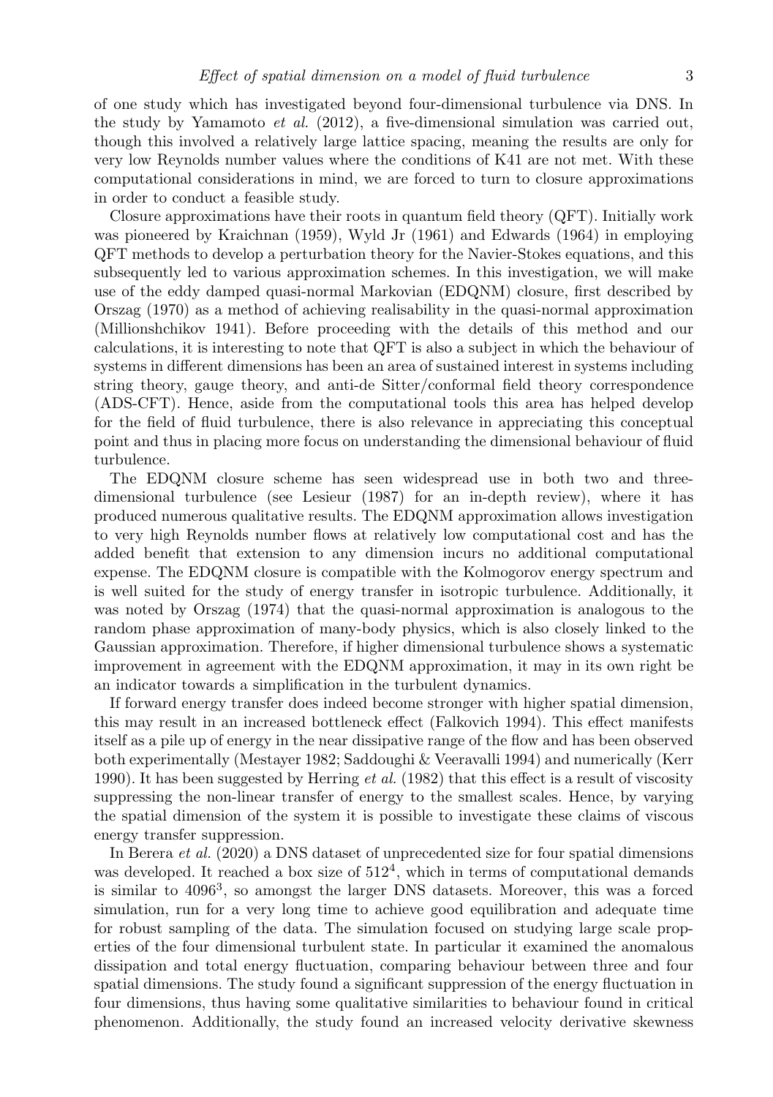of one study which has investigated beyond four-dimensional turbulence via DNS. In the study by Yamamoto et al.  $(2012)$ , a five-dimensional simulation was carried out, though this involved a relatively large lattice spacing, meaning the results are only for very low Reynolds number values where the conditions of K41 are not met. With these computational considerations in mind, we are forced to turn to closure approximations in order to conduct a feasible study.

Closure approximations have their roots in quantum field theory (QFT). Initially work was pioneered by Kraichnan (1959), Wyld Jr (1961) and Edwards (1964) in employing QFT methods to develop a perturbation theory for the Navier-Stokes equations, and this subsequently led to various approximation schemes. In this investigation, we will make use of the eddy damped quasi-normal Markovian (EDQNM) closure, first described by Orszag (1970) as a method of achieving realisability in the quasi-normal approximation (Millionshchikov 1941). Before proceeding with the details of this method and our calculations, it is interesting to note that QFT is also a subject in which the behaviour of systems in different dimensions has been an area of sustained interest in systems including string theory, gauge theory, and anti-de Sitter/conformal field theory correspondence (ADS-CFT). Hence, aside from the computational tools this area has helped develop for the field of fluid turbulence, there is also relevance in appreciating this conceptual point and thus in placing more focus on understanding the dimensional behaviour of fluid turbulence.

The EDQNM closure scheme has seen widespread use in both two and threedimensional turbulence (see Lesieur (1987) for an in-depth review), where it has produced numerous qualitative results. The EDQNM approximation allows investigation to very high Reynolds number flows at relatively low computational cost and has the added benefit that extension to any dimension incurs no additional computational expense. The EDQNM closure is compatible with the Kolmogorov energy spectrum and is well suited for the study of energy transfer in isotropic turbulence. Additionally, it was noted by Orszag (1974) that the quasi-normal approximation is analogous to the random phase approximation of many-body physics, which is also closely linked to the Gaussian approximation. Therefore, if higher dimensional turbulence shows a systematic improvement in agreement with the EDQNM approximation, it may in its own right be an indicator towards a simplification in the turbulent dynamics.

If forward energy transfer does indeed become stronger with higher spatial dimension, this may result in an increased bottleneck effect (Falkovich 1994). This effect manifests itself as a pile up of energy in the near dissipative range of the flow and has been observed both experimentally (Mestayer 1982; Saddoughi & Veeravalli 1994) and numerically (Kerr 1990). It has been suggested by Herring *et al.* (1982) that this effect is a result of viscosity suppressing the non-linear transfer of energy to the smallest scales. Hence, by varying the spatial dimension of the system it is possible to investigate these claims of viscous energy transfer suppression.

In Berera et al. (2020) a DNS dataset of unprecedented size for four spatial dimensions was developed. It reached a box size of  $512<sup>4</sup>$ , which in terms of computational demands is similar to 4096<sup>3</sup> , so amongst the larger DNS datasets. Moreover, this was a forced simulation, run for a very long time to achieve good equilibration and adequate time for robust sampling of the data. The simulation focused on studying large scale properties of the four dimensional turbulent state. In particular it examined the anomalous dissipation and total energy fluctuation, comparing behaviour between three and four spatial dimensions. The study found a significant suppression of the energy fluctuation in four dimensions, thus having some qualitative similarities to behaviour found in critical phenomenon. Additionally, the study found an increased velocity derivative skewness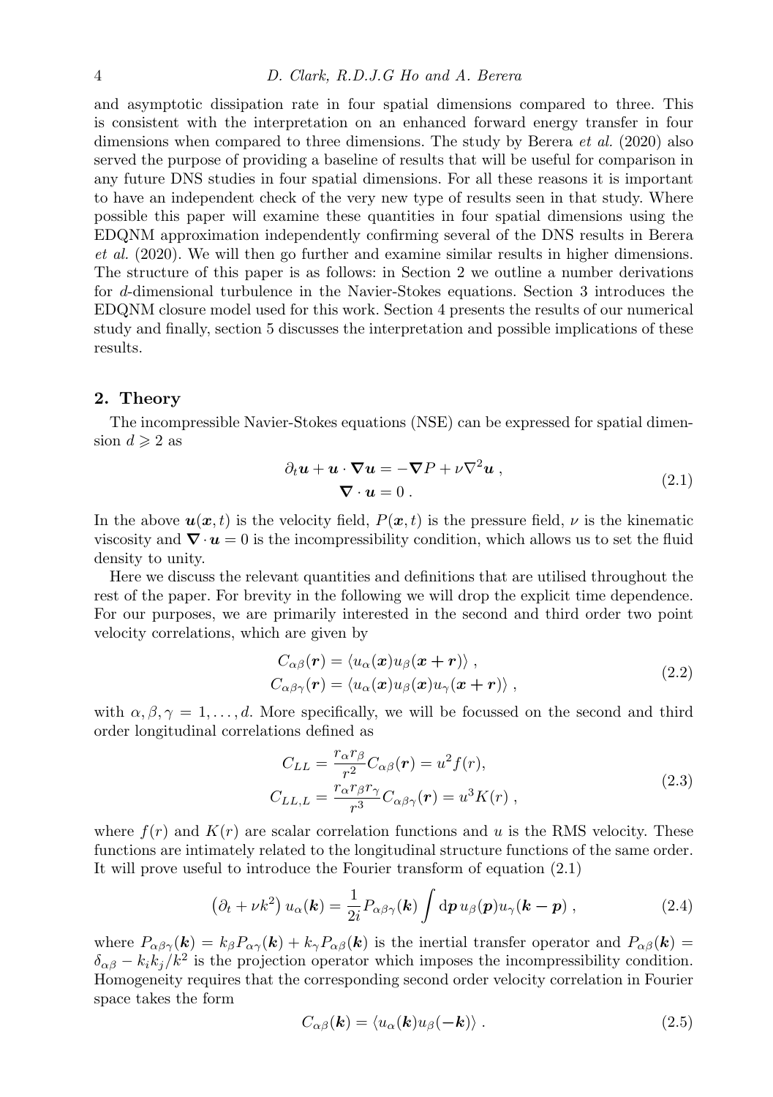and asymptotic dissipation rate in four spatial dimensions compared to three. This is consistent with the interpretation on an enhanced forward energy transfer in four dimensions when compared to three dimensions. The study by Berera *et al.* (2020) also served the purpose of providing a baseline of results that will be useful for comparison in any future DNS studies in four spatial dimensions. For all these reasons it is important to have an independent check of the very new type of results seen in that study. Where possible this paper will examine these quantities in four spatial dimensions using the EDQNM approximation independently confirming several of the DNS results in Berera et al. (2020). We will then go further and examine similar results in higher dimensions. The structure of this paper is as follows: in Section 2 we outline a number derivations for d-dimensional turbulence in the Navier-Stokes equations. Section 3 introduces the EDQNM closure model used for this work. Section 4 presents the results of our numerical study and finally, section 5 discusses the interpretation and possible implications of these results.

#### 2. Theory

The incompressible Navier-Stokes equations (NSE) can be expressed for spatial dimension  $d \geqslant 2$  as

$$
\partial_t \mathbf{u} + \mathbf{u} \cdot \nabla \mathbf{u} = -\nabla P + \nu \nabla^2 \mathbf{u} ,
$$
  

$$
\nabla \cdot \mathbf{u} = 0 .
$$
 (2.1)

In the above  $u(x, t)$  is the velocity field,  $P(x, t)$  is the pressure field,  $\nu$  is the kinematic viscosity and  $\nabla \cdot \boldsymbol{u} = 0$  is the incompressibility condition, which allows us to set the fluid density to unity.

Here we discuss the relevant quantities and definitions that are utilised throughout the rest of the paper. For brevity in the following we will drop the explicit time dependence. For our purposes, we are primarily interested in the second and third order two point velocity correlations, which are given by

$$
C_{\alpha\beta}(\mathbf{r}) = \langle u_{\alpha}(\mathbf{x})u_{\beta}(\mathbf{x}+\mathbf{r}) \rangle, C_{\alpha\beta\gamma}(\mathbf{r}) = \langle u_{\alpha}(\mathbf{x})u_{\beta}(\mathbf{x})u_{\gamma}(\mathbf{x}+\mathbf{r}) \rangle,
$$
\n(2.2)

with  $\alpha, \beta, \gamma = 1, \ldots, d$ . More specifically, we will be focussed on the second and third order longitudinal correlations defined as

$$
C_{LL} = \frac{r_{\alpha}r_{\beta}}{r^2} C_{\alpha\beta}(\mathbf{r}) = u^2 f(r),
$$
  
\n
$$
C_{LL,L} = \frac{r_{\alpha}r_{\beta}r_{\gamma}}{r^3} C_{\alpha\beta\gamma}(\mathbf{r}) = u^3 K(r) ,
$$
\n(2.3)

where  $f(r)$  and  $K(r)$  are scalar correlation functions and u is the RMS velocity. These functions are intimately related to the longitudinal structure functions of the same order. It will prove useful to introduce the Fourier transform of equation (2.1)

$$
\left(\partial_t + \nu k^2\right) u_\alpha(\mathbf{k}) = \frac{1}{2i} P_{\alpha\beta\gamma}(\mathbf{k}) \int \mathrm{d}\mathbf{p} \, u_\beta(\mathbf{p}) u_\gamma(\mathbf{k} - \mathbf{p}) \,, \tag{2.4}
$$

where  $P_{\alpha\beta\gamma}(\mathbf{k}) = k_{\beta}P_{\alpha\gamma}(\mathbf{k}) + k_{\gamma}P_{\alpha\beta}(\mathbf{k})$  is the inertial transfer operator and  $P_{\alpha\beta}(\mathbf{k}) =$  $\delta_{\alpha\beta} - k_i k_j / k^2$  is the projection operator which imposes the incompressibility condition. Homogeneity requires that the corresponding second order velocity correlation in Fourier space takes the form

$$
C_{\alpha\beta}(\mathbf{k}) = \langle u_{\alpha}(\mathbf{k})u_{\beta}(-\mathbf{k})\rangle . \qquad (2.5)
$$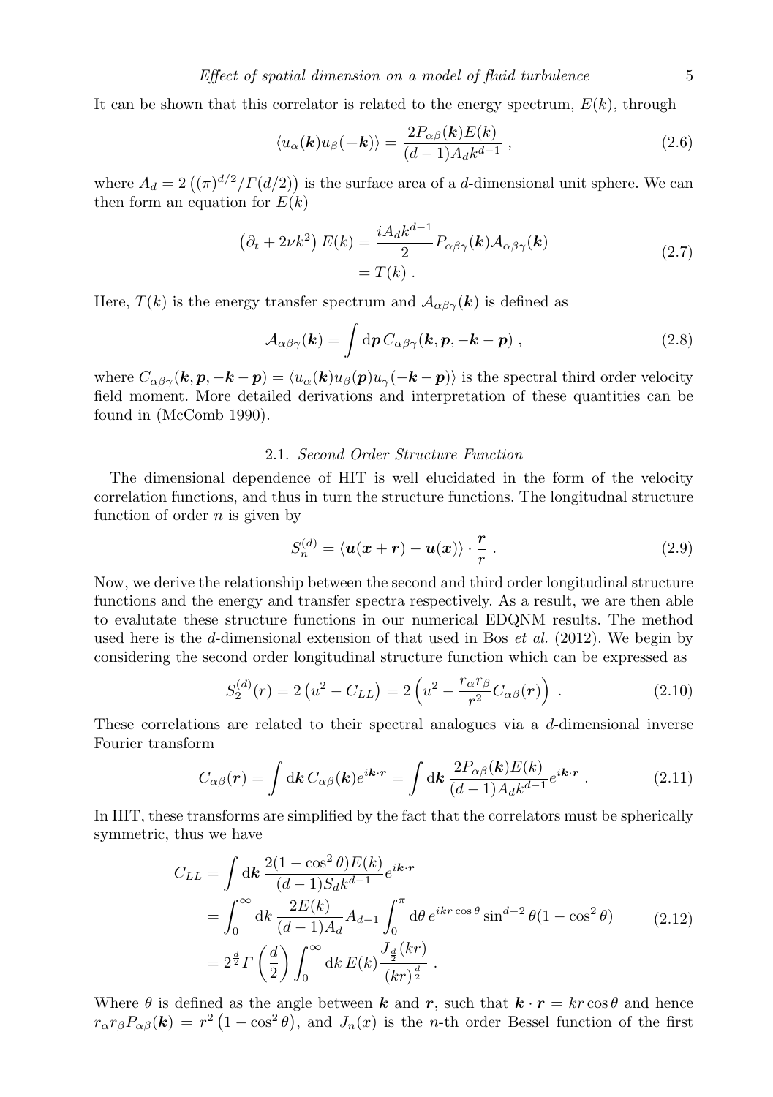It can be shown that this correlator is related to the energy spectrum,  $E(k)$ , through

$$
\langle u_{\alpha}(\mathbf{k})u_{\beta}(-\mathbf{k})\rangle = \frac{2P_{\alpha\beta}(\mathbf{k})E(k)}{(d-1)A_{d}k^{d-1}},
$$
\n(2.6)

where  $A_d = 2((\pi)^{d/2}/\Gamma(d/2))$  is the surface area of a d-dimensional unit sphere. We can then form an equation for  $E(k)$ 

$$
\left(\partial_t + 2\nu k^2\right) E(k) = \frac{iA_d k^{d-1}}{2} P_{\alpha\beta\gamma}(\mathbf{k}) A_{\alpha\beta\gamma}(\mathbf{k})
$$
\n
$$
= T(k) .
$$
\n(2.7)

Here,  $T(k)$  is the energy transfer spectrum and  $\mathcal{A}_{\alpha\beta\gamma}(k)$  is defined as

$$
\mathcal{A}_{\alpha\beta\gamma}(\boldsymbol{k}) = \int \mathrm{d}\boldsymbol{p} \, C_{\alpha\beta\gamma}(\boldsymbol{k}, \boldsymbol{p}, -\boldsymbol{k} - \boldsymbol{p}) \,, \tag{2.8}
$$

where  $C_{\alpha\beta\gamma}(\mathbf{k}, \mathbf{p}, -\mathbf{k} - \mathbf{p}) = \langle u_{\alpha}(\mathbf{k})u_{\beta}(\mathbf{p})u_{\gamma}(-\mathbf{k} - \mathbf{p})\rangle$  is the spectral third order velocity field moment. More detailed derivations and interpretation of these quantities can be found in (McComb 1990).

#### 2.1. Second Order Structure Function

The dimensional dependence of HIT is well elucidated in the form of the velocity correlation functions, and thus in turn the structure functions. The longitudnal structure function of order  $n$  is given by

$$
S_n^{(d)} = \langle \mathbf{u}(\mathbf{x} + \mathbf{r}) - \mathbf{u}(\mathbf{x}) \rangle \cdot \frac{\mathbf{r}}{r} . \tag{2.9}
$$

Now, we derive the relationship between the second and third order longitudinal structure functions and the energy and transfer spectra respectively. As a result, we are then able to evalutate these structure functions in our numerical EDQNM results. The method used here is the d-dimensional extension of that used in Bos *et al.* (2012). We begin by considering the second order longitudinal structure function which can be expressed as

$$
S_2^{(d)}(r) = 2\left(u^2 - C_{LL}\right) = 2\left(u^2 - \frac{r_\alpha r_\beta}{r^2}C_{\alpha\beta}(r)\right) \,. \tag{2.10}
$$

These correlations are related to their spectral analogues via a d-dimensional inverse Fourier transform

$$
C_{\alpha\beta}(\mathbf{r}) = \int \mathrm{d}\mathbf{k} \, C_{\alpha\beta}(\mathbf{k}) e^{i\mathbf{k}\cdot\mathbf{r}} = \int \mathrm{d}\mathbf{k} \, \frac{2P_{\alpha\beta}(\mathbf{k})E(k)}{(d-1)A_d k^{d-1}} e^{i\mathbf{k}\cdot\mathbf{r}} \,. \tag{2.11}
$$

In HIT, these transforms are simplified by the fact that the correlators must be spherically symmetric, thus we have

$$
C_{LL} = \int \mathrm{d}\mathbf{k} \, \frac{2(1 - \cos^2 \theta) E(k)}{(d-1) S_d k^{d-1}} e^{i\mathbf{k} \cdot \mathbf{r}} = \int_0^\infty \mathrm{d}k \, \frac{2E(k)}{(d-1) A_d} A_{d-1} \int_0^\pi \mathrm{d}\theta \, e^{i k r \cos \theta} \sin^{d-2} \theta (1 - \cos^2 \theta) = 2^{\frac{d}{2}} \Gamma\left(\frac{d}{2}\right) \int_0^\infty \mathrm{d}k \, E(k) \frac{J_{\frac{d}{2}}(kr)}{(kr)^{\frac{d}{2}}}.
$$
 (2.12)

Where  $\theta$  is defined as the angle between k and r, such that  $k \cdot r = kr \cos \theta$  and hence  $r_{\alpha}r_{\beta}P_{\alpha\beta}(\boldsymbol{k}) = r^2(1-\cos^2\theta)$ , and  $J_n(x)$  is the *n*-th order Bessel function of the first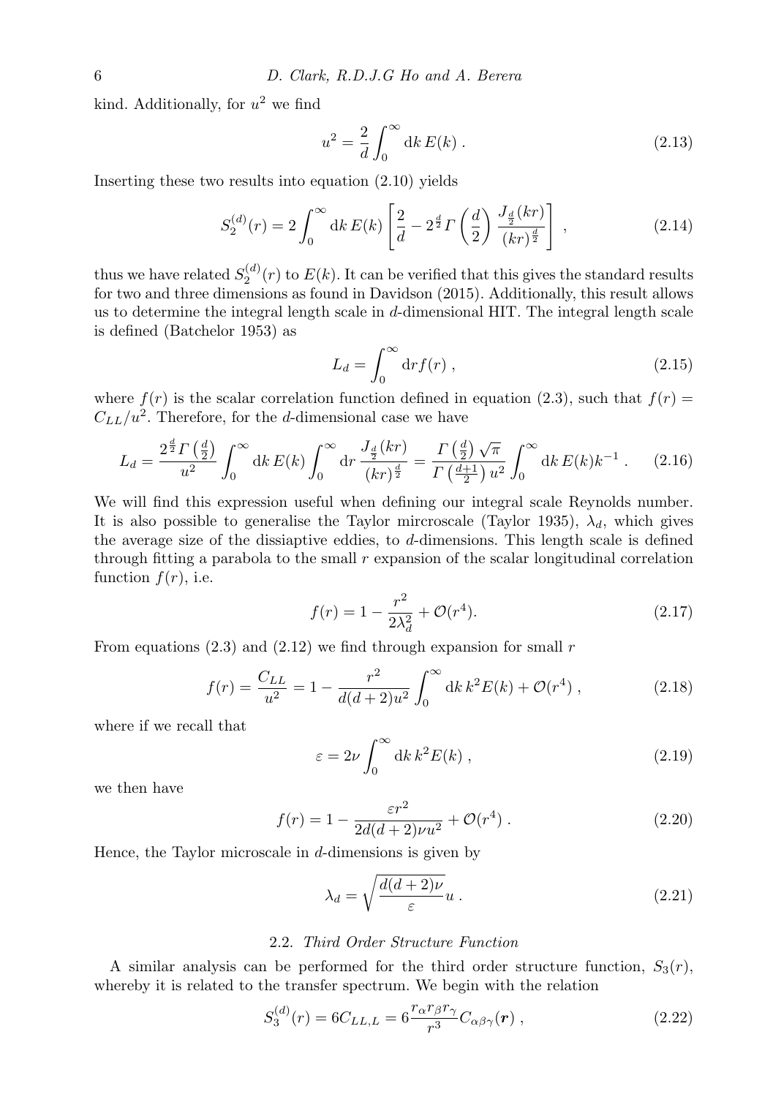kind. Additionally, for  $u^2$  we find

$$
u^2 = \frac{2}{d} \int_0^\infty \mathrm{d}k \, E(k) \,. \tag{2.13}
$$

Inserting these two results into equation (2.10) yields

$$
S_2^{(d)}(r) = 2 \int_0^\infty dk \, E(k) \left[ \frac{2}{d} - 2^{\frac{d}{2}} \Gamma\left(\frac{d}{2}\right) \frac{J_{\frac{d}{2}}(kr)}{(kr)^{\frac{d}{2}}} \right] \,, \tag{2.14}
$$

thus we have related  $S_2^{(d)}(r)$  to  $E(k)$ . It can be verified that this gives the standard results for two and three dimensions as found in Davidson (2015). Additionally, this result allows us to determine the integral length scale in d-dimensional HIT. The integral length scale is defined (Batchelor 1953) as

$$
L_d = \int_0^\infty \mathrm{d}r f(r) \;, \tag{2.15}
$$

where  $f(r)$  is the scalar correlation function defined in equation (2.3), such that  $f(r)$  =  $C_{LL}/u^2$ . Therefore, for the d-dimensional case we have

$$
L_d = \frac{2^{\frac{d}{2}} \Gamma\left(\frac{d}{2}\right)}{u^2} \int_0^\infty dk \, E(k) \int_0^\infty dr \, \frac{J_{\frac{d}{2}}(kr)}{(kr)^{\frac{d}{2}}} = \frac{\Gamma\left(\frac{d}{2}\right)\sqrt{\pi}}{\Gamma\left(\frac{d+1}{2}\right)u^2} \int_0^\infty dk \, E(k)k^{-1} \,. \tag{2.16}
$$

We will find this expression useful when defining our integral scale Reynolds number. It is also possible to generalise the Taylor mircroscale (Taylor 1935),  $\lambda_d$ , which gives the average size of the dissiaptive eddies, to d-dimensions. This length scale is defined through fitting a parabola to the small  $r$  expansion of the scalar longitudinal correlation function  $f(r)$ , i.e.

$$
f(r) = 1 - \frac{r^2}{2\lambda_d^2} + \mathcal{O}(r^4).
$$
 (2.17)

From equations  $(2.3)$  and  $(2.12)$  we find through expansion for small r

$$
f(r) = \frac{C_{LL}}{u^2} = 1 - \frac{r^2}{d(d+2)u^2} \int_0^\infty dk \, k^2 E(k) + \mathcal{O}(r^4) \,,\tag{2.18}
$$

where if we recall that

$$
\varepsilon = 2\nu \int_0^\infty dk \, k^2 E(k) \,, \tag{2.19}
$$

we then have

$$
f(r) = 1 - \frac{\varepsilon r^2}{2d(d+2)\nu u^2} + \mathcal{O}(r^4) \tag{2.20}
$$

Hence, the Taylor microscale in  $d$ -dimensions is given by

$$
\lambda_d = \sqrt{\frac{d(d+2)\nu}{\varepsilon}} u \,. \tag{2.21}
$$

#### 2.2. Third Order Structure Function

A similar analysis can be performed for the third order structure function,  $S_3(r)$ , whereby it is related to the transfer spectrum. We begin with the relation

$$
S_3^{(d)}(r) = 6C_{LL,L} = 6\frac{r_\alpha r_\beta r_\gamma}{r^3} C_{\alpha\beta\gamma}(\mathbf{r}) , \qquad (2.22)
$$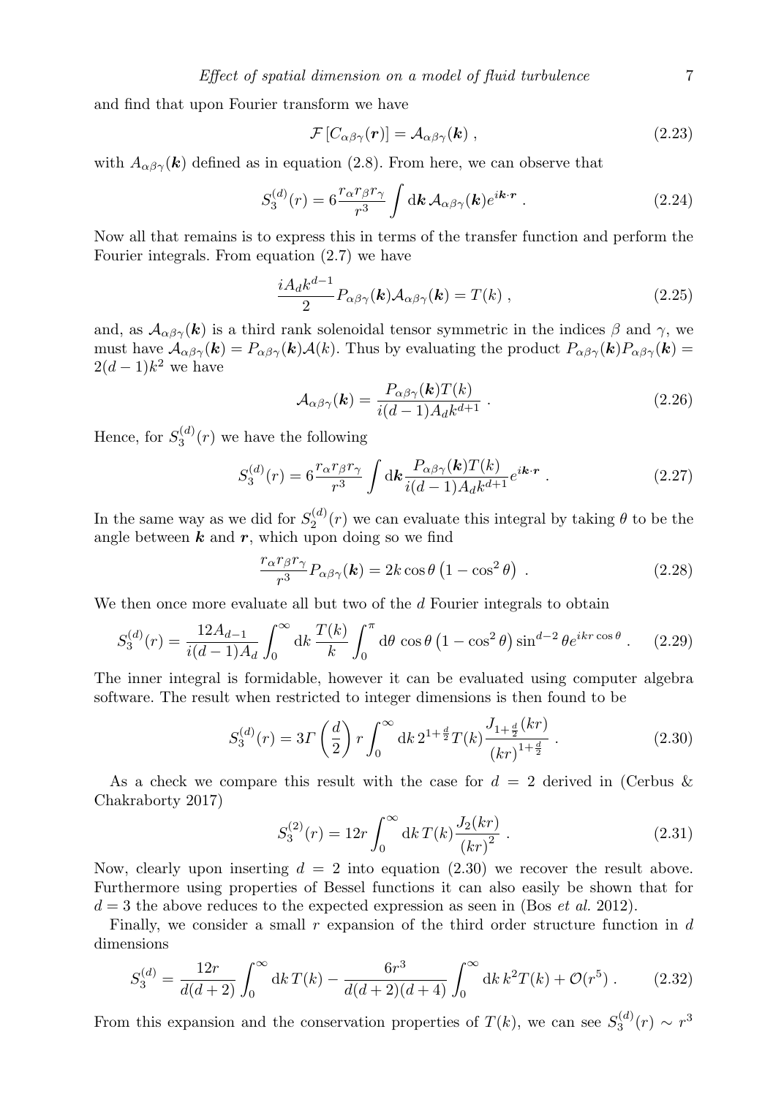and find that upon Fourier transform we have

$$
\mathcal{F}\left[C_{\alpha\beta\gamma}(\boldsymbol{r})\right] = \mathcal{A}_{\alpha\beta\gamma}(\boldsymbol{k})\,,\tag{2.23}
$$

with  $A_{\alpha\beta\gamma}(\mathbf{k})$  defined as in equation (2.8). From here, we can observe that

$$
S_3^{(d)}(r) = 6 \frac{r_\alpha r_\beta r_\gamma}{r^3} \int \mathrm{d} \mathbf{k} \, \mathcal{A}_{\alpha\beta\gamma}(\mathbf{k}) e^{i\mathbf{k} \cdot \mathbf{r}} \,. \tag{2.24}
$$

Now all that remains is to express this in terms of the transfer function and perform the Fourier integrals. From equation (2.7) we have

$$
\frac{iA_d k^{d-1}}{2} P_{\alpha\beta\gamma}(\mathbf{k}) A_{\alpha\beta\gamma}(\mathbf{k}) = T(k) ,
$$
\n(2.25)

and, as  $\mathcal{A}_{\alpha\beta\gamma}(\mathbf{k})$  is a third rank solenoidal tensor symmetric in the indices  $\beta$  and  $\gamma$ , we must have  $A_{\alpha\beta\gamma}(\mathbf{k}) = P_{\alpha\beta\gamma}(\mathbf{k})A(\mathbf{k})$ . Thus by evaluating the product  $P_{\alpha\beta\gamma}(\mathbf{k})P_{\alpha\beta\gamma}(\mathbf{k}) =$  $2(d-1)k^2$  we have

$$
\mathcal{A}_{\alpha\beta\gamma}(\mathbf{k}) = \frac{P_{\alpha\beta\gamma}(\mathbf{k})T(k)}{i(d-1)A_d k^{d+1}} \,. \tag{2.26}
$$

Hence, for  $S_3^{(d)}(r)$  we have the following

$$
S_3^{(d)}(r) = 6 \frac{r_\alpha r_\beta r_\gamma}{r^3} \int \mathrm{d}\mathbf{k} \frac{P_{\alpha\beta\gamma}(\mathbf{k}) T(k)}{i(d-1) A_d k^{d+1}} e^{i\mathbf{k} \cdot \mathbf{r}} \ . \tag{2.27}
$$

In the same way as we did for  $S_2^{(d)}(r)$  we can evaluate this integral by taking  $\theta$  to be the angle between  $k$  and  $r$ , which upon doing so we find

$$
\frac{r_{\alpha}r_{\beta}r_{\gamma}}{r^3}P_{\alpha\beta\gamma}(\mathbf{k}) = 2k\cos\theta\left(1 - \cos^2\theta\right) \ . \tag{2.28}
$$

We then once more evaluate all but two of the  $d$  Fourier integrals to obtain

$$
S_3^{(d)}(r) = \frac{12A_{d-1}}{i(d-1)A_d} \int_0^\infty \mathrm{d}k \, \frac{T(k)}{k} \int_0^\pi \mathrm{d}\theta \, \cos\theta \left(1 - \cos^2\theta\right) \sin^{d-2}\theta e^{ikr\cos\theta} \,. \tag{2.29}
$$

The inner integral is formidable, however it can be evaluated using computer algebra software. The result when restricted to integer dimensions is then found to be

$$
S_3^{(d)}(r) = 3\Gamma\left(\frac{d}{2}\right)r\int_0^\infty \mathrm{d}k \, 2^{1+\frac{d}{2}}T(k)\frac{J_{1+\frac{d}{2}}(kr)}{(kr)^{1+\frac{d}{2}}} \,. \tag{2.30}
$$

As a check we compare this result with the case for  $d = 2$  derived in (Cerbus & Chakraborty 2017)

$$
S_3^{(2)}(r) = 12r \int_0^\infty \mathrm{d}k \, T(k) \frac{J_2(kr)}{(kr)^2} \,. \tag{2.31}
$$

Now, clearly upon inserting  $d = 2$  into equation (2.30) we recover the result above. Furthermore using properties of Bessel functions it can also easily be shown that for  $d = 3$  the above reduces to the expected expression as seen in (Bos *et al.* 2012).

Finally, we consider a small r expansion of the third order structure function in  $d$ dimensions

$$
S_3^{(d)} = \frac{12r}{d(d+2)} \int_0^\infty dk \, T(k) - \frac{6r^3}{d(d+2)(d+4)} \int_0^\infty dk \, k^2 T(k) + \mathcal{O}(r^5) \,. \tag{2.32}
$$

From this expansion and the conservation properties of  $T(k)$ , we can see  $S_3^{(d)}(r) \sim r^3$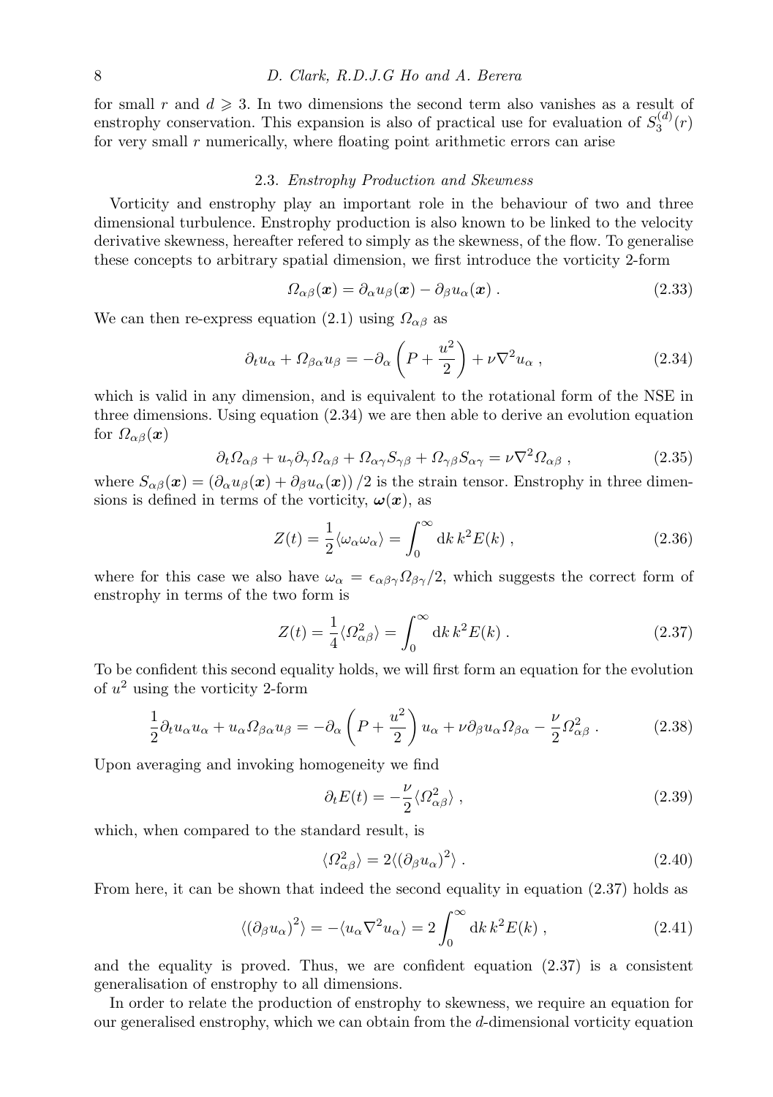for small r and  $d \geq 3$ . In two dimensions the second term also vanishes as a result of enstrophy conservation. This expansion is also of practical use for evaluation of  $S_3^{(d)}(r)$ for very small  $r$  numerically, where floating point arithmetic errors can arise

#### 2.3. Enstrophy Production and Skewness

Vorticity and enstrophy play an important role in the behaviour of two and three dimensional turbulence. Enstrophy production is also known to be linked to the velocity derivative skewness, hereafter refered to simply as the skewness, of the flow. To generalise these concepts to arbitrary spatial dimension, we first introduce the vorticity 2-form

$$
\Omega_{\alpha\beta}(\boldsymbol{x}) = \partial_{\alpha} u_{\beta}(\boldsymbol{x}) - \partial_{\beta} u_{\alpha}(\boldsymbol{x}) . \qquad (2.33)
$$

We can then re-express equation (2.1) using  $\Omega_{\alpha\beta}$  as

$$
\partial_t u_\alpha + \Omega_{\beta \alpha} u_\beta = -\partial_\alpha \left( P + \frac{u^2}{2} \right) + \nu \nabla^2 u_\alpha , \qquad (2.34)
$$

which is valid in any dimension, and is equivalent to the rotational form of the NSE in three dimensions. Using equation (2.34) we are then able to derive an evolution equation for  $\Omega_{\alpha\beta}(\bm{x})$ 

$$
\partial_t \Omega_{\alpha\beta} + u_\gamma \partial_\gamma \Omega_{\alpha\beta} + \Omega_{\alpha\gamma} S_{\gamma\beta} + \Omega_{\gamma\beta} S_{\alpha\gamma} = \nu \nabla^2 \Omega_{\alpha\beta} , \qquad (2.35)
$$

where  $S_{\alpha\beta}(x) = (\partial_{\alpha}u_{\beta}(x) + \partial_{\beta}u_{\alpha}(x))/2$  is the strain tensor. Enstrophy in three dimensions is defined in terms of the vorticity,  $\omega(x)$ , as

$$
Z(t) = \frac{1}{2} \langle \omega_{\alpha} \omega_{\alpha} \rangle = \int_0^{\infty} dk \, k^2 E(k) , \qquad (2.36)
$$

where for this case we also have  $\omega_{\alpha} = \epsilon_{\alpha\beta\gamma} \Omega_{\beta\gamma}/2$ , which suggests the correct form of enstrophy in terms of the two form is

$$
Z(t) = \frac{1}{4} \langle \Omega_{\alpha\beta}^2 \rangle = \int_0^\infty dk \, k^2 E(k) \,. \tag{2.37}
$$

To be confident this second equality holds, we will first form an equation for the evolution of  $u^2$  using the vorticity 2-form

$$
\frac{1}{2}\partial_t u_\alpha u_\alpha + u_\alpha \Omega_{\beta\alpha} u_\beta = -\partial_\alpha \left( P + \frac{u^2}{2} \right) u_\alpha + \nu \partial_\beta u_\alpha \Omega_{\beta\alpha} - \frac{\nu}{2} \Omega_{\alpha\beta}^2 \,. \tag{2.38}
$$

Upon averaging and invoking homogeneity we find

$$
\partial_t E(t) = -\frac{\nu}{2} \langle \Omega_{\alpha\beta}^2 \rangle \,, \tag{2.39}
$$

which, when compared to the standard result, is

$$
\langle \Omega_{\alpha\beta}^2 \rangle = 2 \langle (\partial_\beta u_\alpha)^2 \rangle \,. \tag{2.40}
$$

From here, it can be shown that indeed the second equality in equation (2.37) holds as

$$
\langle (\partial_{\beta} u_{\alpha})^2 \rangle = -\langle u_{\alpha} \nabla^2 u_{\alpha} \rangle = 2 \int_0^{\infty} dk \, k^2 E(k) , \qquad (2.41)
$$

and the equality is proved. Thus, we are confident equation  $(2.37)$  is a consistent generalisation of enstrophy to all dimensions.

In order to relate the production of enstrophy to skewness, we require an equation for our generalised enstrophy, which we can obtain from the d-dimensional vorticity equation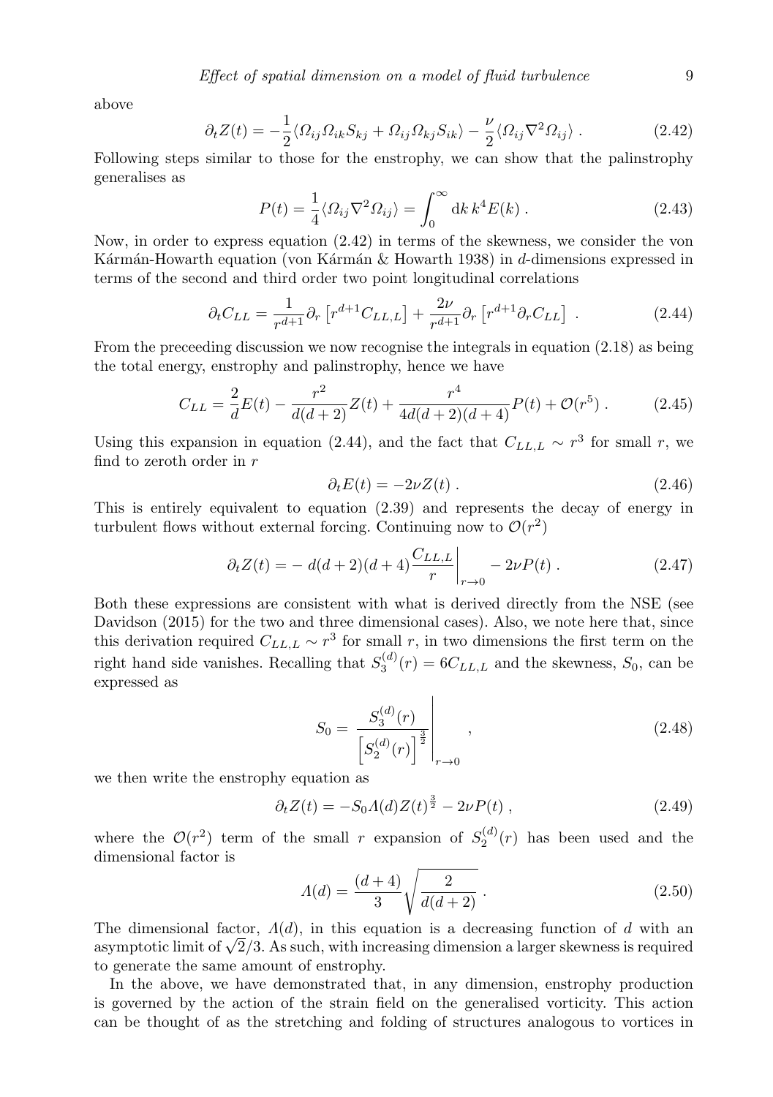above

$$
\partial_t Z(t) = -\frac{1}{2} \langle \Omega_{ij} \Omega_{ik} S_{kj} + \Omega_{ij} \Omega_{kj} S_{ik} \rangle - \frac{\nu}{2} \langle \Omega_{ij} \nabla^2 \Omega_{ij} \rangle . \tag{2.42}
$$

Following steps similar to those for the enstrophy, we can show that the palinstrophy generalises as

$$
P(t) = \frac{1}{4} \langle \Omega_{ij} \nabla^2 \Omega_{ij} \rangle = \int_0^\infty dk \, k^4 E(k) \,. \tag{2.43}
$$

Now, in order to express equation (2.42) in terms of the skewness, we consider the von Kármán-Howarth equation (von Kármán  $\&$  Howarth 1938) in d-dimensions expressed in terms of the second and third order two point longitudinal correlations

$$
\partial_t C_{LL} = \frac{1}{r^{d+1}} \partial_r \left[ r^{d+1} C_{LL,L} \right] + \frac{2\nu}{r^{d+1}} \partial_r \left[ r^{d+1} \partial_r C_{LL} \right] \,. \tag{2.44}
$$

From the preceeding discussion we now recognise the integrals in equation  $(2.18)$  as being the total energy, enstrophy and palinstrophy, hence we have

$$
C_{LL} = \frac{2}{d}E(t) - \frac{r^2}{d(d+2)}Z(t) + \frac{r^4}{4d(d+2)(d+4)}P(t) + \mathcal{O}(r^5) \,. \tag{2.45}
$$

Using this expansion in equation (2.44), and the fact that  $C_{LL,L} \sim r^3$  for small r, we find to zeroth order in  $r$ 

$$
\partial_t E(t) = -2\nu Z(t) \,. \tag{2.46}
$$

This is entirely equivalent to equation (2.39) and represents the decay of energy in turbulent flows without external forcing. Continuing now to  $\mathcal{O}(r^2)$ 

$$
\partial_t Z(t) = -d(d+2)(d+4)\frac{C_{LL,L}}{r}\bigg|_{r \to 0} - 2\nu P(t) . \tag{2.47}
$$

Both these expressions are consistent with what is derived directly from the NSE (see Davidson (2015) for the two and three dimensional cases). Also, we note here that, since this derivation required  $C_{LL,L} \sim r^3$  for small r, in two dimensions the first term on the right hand side vanishes. Recalling that  $S_3^{(d)}(r) = 6C_{LL,L}$  and the skewness,  $S_0$ , can be expressed as

$$
S_0 = \frac{S_3^{(d)}(r)}{\left[S_2^{(d)}(r)\right]^{\frac{3}{2}}}\Bigg|_{r \to 0},
$$
\n(2.48)

we then write the enstrophy equation as

$$
\partial_t Z(t) = -S_0 A(d) Z(t)^{\frac{3}{2}} - 2\nu P(t) , \qquad (2.49)
$$

where the  $\mathcal{O}(r^2)$  term of the small r expansion of  $S_2^{(d)}(r)$  has been used and the dimensional factor is

$$
\Lambda(d) = \frac{(d+4)}{3} \sqrt{\frac{2}{d(d+2)}}.
$$
\n(2.50)

The dimensional factor,  $\Lambda(d)$ , in this equation is a decreasing function of d with an asymptotic limit of  $\sqrt{2}/3$ . As such, with increasing dimension a larger skewness is required to generate the same amount of enstrophy.

In the above, we have demonstrated that, in any dimension, enstrophy production is governed by the action of the strain field on the generalised vorticity. This action can be thought of as the stretching and folding of structures analogous to vortices in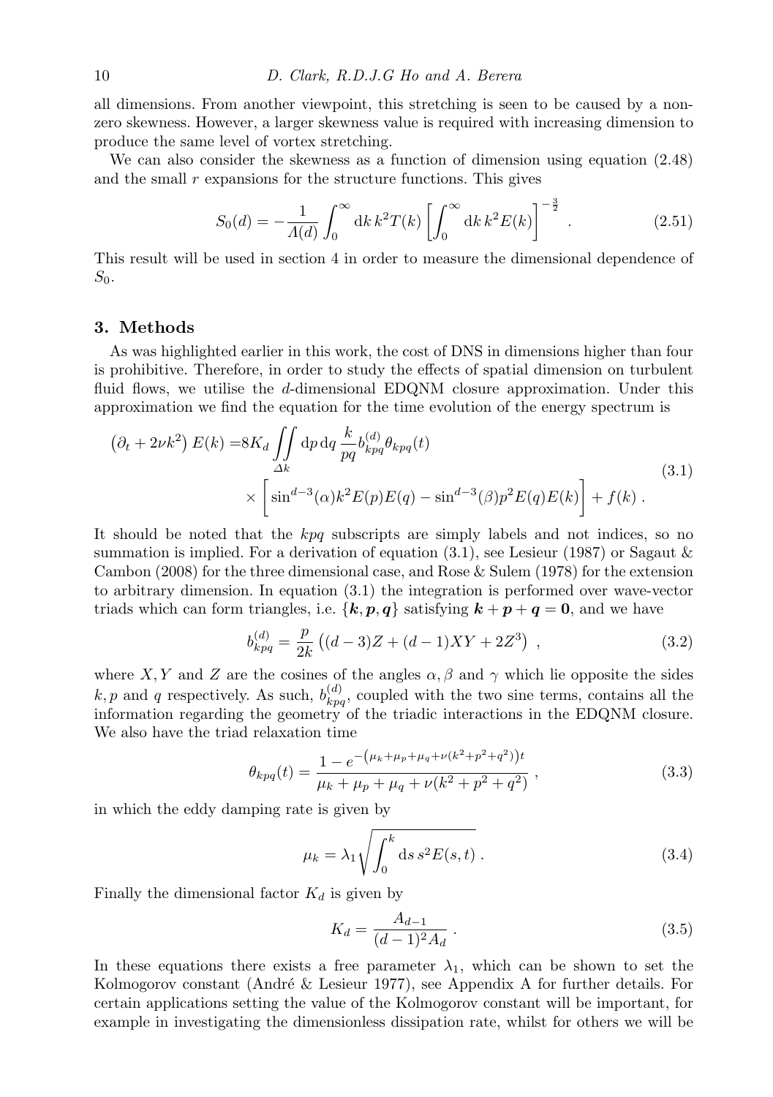all dimensions. From another viewpoint, this stretching is seen to be caused by a nonzero skewness. However, a larger skewness value is required with increasing dimension to produce the same level of vortex stretching.

We can also consider the skewness as a function of dimension using equation (2.48) and the small  $r$  expansions for the structure functions. This gives

$$
S_0(d) = -\frac{1}{\Lambda(d)} \int_0^\infty dk \, k^2 T(k) \left[ \int_0^\infty dk \, k^2 E(k) \right]^{-\frac{3}{2}} . \tag{2.51}
$$

This result will be used in section 4 in order to measure the dimensional dependence of  $S_0$ .

#### 3. Methods

As was highlighted earlier in this work, the cost of DNS in dimensions higher than four is prohibitive. Therefore, in order to study the effects of spatial dimension on turbulent fluid flows, we utilise the d-dimensional EDQNM closure approximation. Under this approximation we find the equation for the time evolution of the energy spectrum is

$$
\left(\partial_t + 2\nu k^2\right) E(k) = 8K_d \iint\limits_{\Delta k} dp \, dq \frac{k}{pq} b_{kpq}^{(d)} \theta_{kpq}(t)
$$
  
 
$$
\times \left[ \sin^{d-3}(\alpha) k^2 E(p) E(q) - \sin^{d-3}(\beta) p^2 E(q) E(k) \right] + f(k) .
$$
 (3.1)

It should be noted that the kpq subscripts are simply labels and not indices, so no summation is implied. For a derivation of equation  $(3.1)$ , see Lesieur (1987) or Sagaut & Cambon (2008) for the three dimensional case, and Rose & Sulem (1978) for the extension to arbitrary dimension. In equation (3.1) the integration is performed over wave-vector triads which can form triangles, i.e.  $\{k, p, q\}$  satisfying  $k + p + q = 0$ , and we have

$$
b_{kpq}^{(d)} = \frac{p}{2k} \left( (d-3)Z + (d-1)XY + 2Z^3 \right) , \qquad (3.2)
$$

where X, Y and Z are the cosines of the angles  $\alpha, \beta$  and  $\gamma$  which lie opposite the sides k, p and q respectively. As such,  $b_{kpq}^{(d)}$ , coupled with the two sine terms, contains all the information regarding the geometry of the triadic interactions in the EDQNM closure. We also have the triad relaxation time

$$
\theta_{kpq}(t) = \frac{1 - e^{-\left(\mu_k + \mu_p + \mu_q + \nu(k^2 + p^2 + q^2)\right)t}}{\mu_k + \mu_p + \mu_q + \nu(k^2 + p^2 + q^2)},
$$
\n(3.3)

in which the eddy damping rate is given by

$$
\mu_k = \lambda_1 \sqrt{\int_0^k \mathrm{d}s \, s^2 E(s, t)} \,. \tag{3.4}
$$

Finally the dimensional factor  $K_d$  is given by

$$
K_d = \frac{A_{d-1}}{(d-1)^2 A_d} \,. \tag{3.5}
$$

In these equations there exists a free parameter  $\lambda_1$ , which can be shown to set the Kolmogorov constant (André  $\&$  Lesieur 1977), see Appendix A for further details. For certain applications setting the value of the Kolmogorov constant will be important, for example in investigating the dimensionless dissipation rate, whilst for others we will be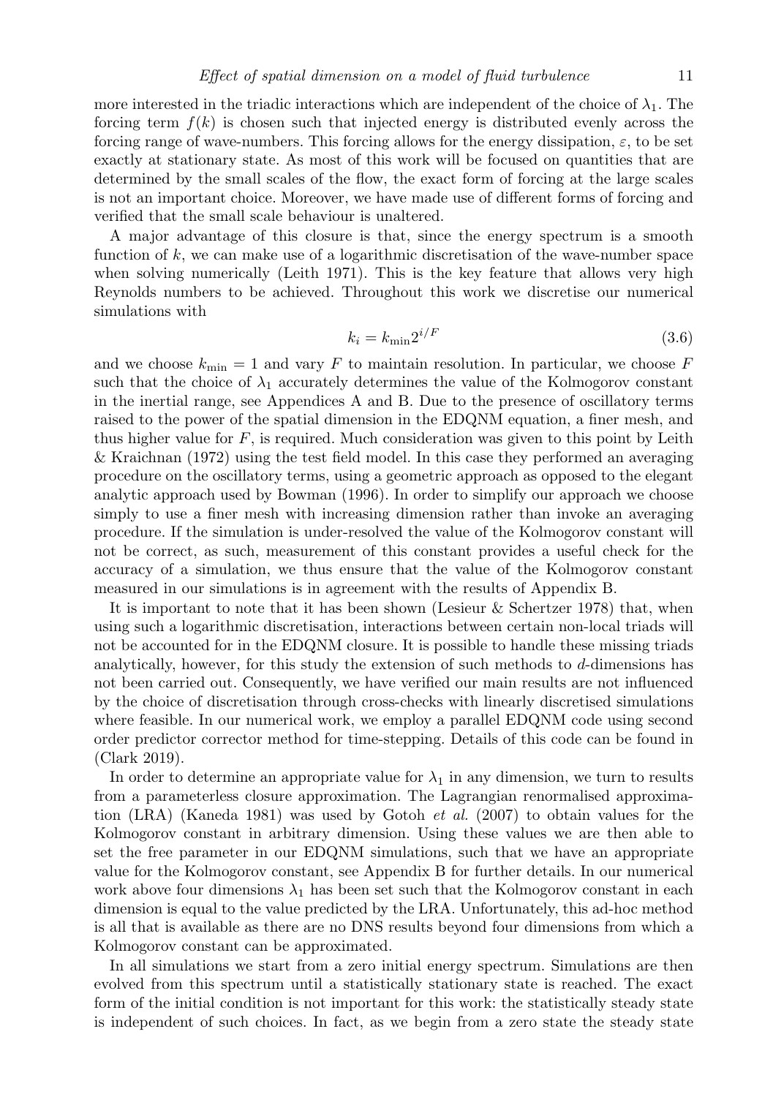more interested in the triadic interactions which are independent of the choice of  $\lambda_1$ . The forcing term  $f(k)$  is chosen such that injected energy is distributed evenly across the forcing range of wave-numbers. This forcing allows for the energy dissipation,  $\varepsilon$ , to be set exactly at stationary state. As most of this work will be focused on quantities that are determined by the small scales of the flow, the exact form of forcing at the large scales is not an important choice. Moreover, we have made use of different forms of forcing and verified that the small scale behaviour is unaltered.

A major advantage of this closure is that, since the energy spectrum is a smooth function of  $k$ , we can make use of a logarithmic discretisation of the wave-number space when solving numerically (Leith 1971). This is the key feature that allows very high Reynolds numbers to be achieved. Throughout this work we discretise our numerical simulations with

$$
k_i = k_{\min} 2^{i/F} \tag{3.6}
$$

and we choose  $k_{\text{min}} = 1$  and vary F to maintain resolution. In particular, we choose F such that the choice of  $\lambda_1$  accurately determines the value of the Kolmogorov constant in the inertial range, see Appendices A and B. Due to the presence of oscillatory terms raised to the power of the spatial dimension in the EDQNM equation, a finer mesh, and thus higher value for  $F$ , is required. Much consideration was given to this point by Leith & Kraichnan (1972) using the test field model. In this case they performed an averaging procedure on the oscillatory terms, using a geometric approach as opposed to the elegant analytic approach used by Bowman (1996). In order to simplify our approach we choose simply to use a finer mesh with increasing dimension rather than invoke an averaging procedure. If the simulation is under-resolved the value of the Kolmogorov constant will not be correct, as such, measurement of this constant provides a useful check for the accuracy of a simulation, we thus ensure that the value of the Kolmogorov constant measured in our simulations is in agreement with the results of Appendix B.

It is important to note that it has been shown (Lesieur & Schertzer 1978) that, when using such a logarithmic discretisation, interactions between certain non-local triads will not be accounted for in the EDQNM closure. It is possible to handle these missing triads analytically, however, for this study the extension of such methods to d-dimensions has not been carried out. Consequently, we have verified our main results are not influenced by the choice of discretisation through cross-checks with linearly discretised simulations where feasible. In our numerical work, we employ a parallel EDQNM code using second order predictor corrector method for time-stepping. Details of this code can be found in (Clark 2019).

In order to determine an appropriate value for  $\lambda_1$  in any dimension, we turn to results from a parameterless closure approximation. The Lagrangian renormalised approximation (LRA) (Kaneda 1981) was used by Gotoh et al. (2007) to obtain values for the Kolmogorov constant in arbitrary dimension. Using these values we are then able to set the free parameter in our EDQNM simulations, such that we have an appropriate value for the Kolmogorov constant, see Appendix B for further details. In our numerical work above four dimensions  $\lambda_1$  has been set such that the Kolmogorov constant in each dimension is equal to the value predicted by the LRA. Unfortunately, this ad-hoc method is all that is available as there are no DNS results beyond four dimensions from which a Kolmogorov constant can be approximated.

In all simulations we start from a zero initial energy spectrum. Simulations are then evolved from this spectrum until a statistically stationary state is reached. The exact form of the initial condition is not important for this work: the statistically steady state is independent of such choices. In fact, as we begin from a zero state the steady state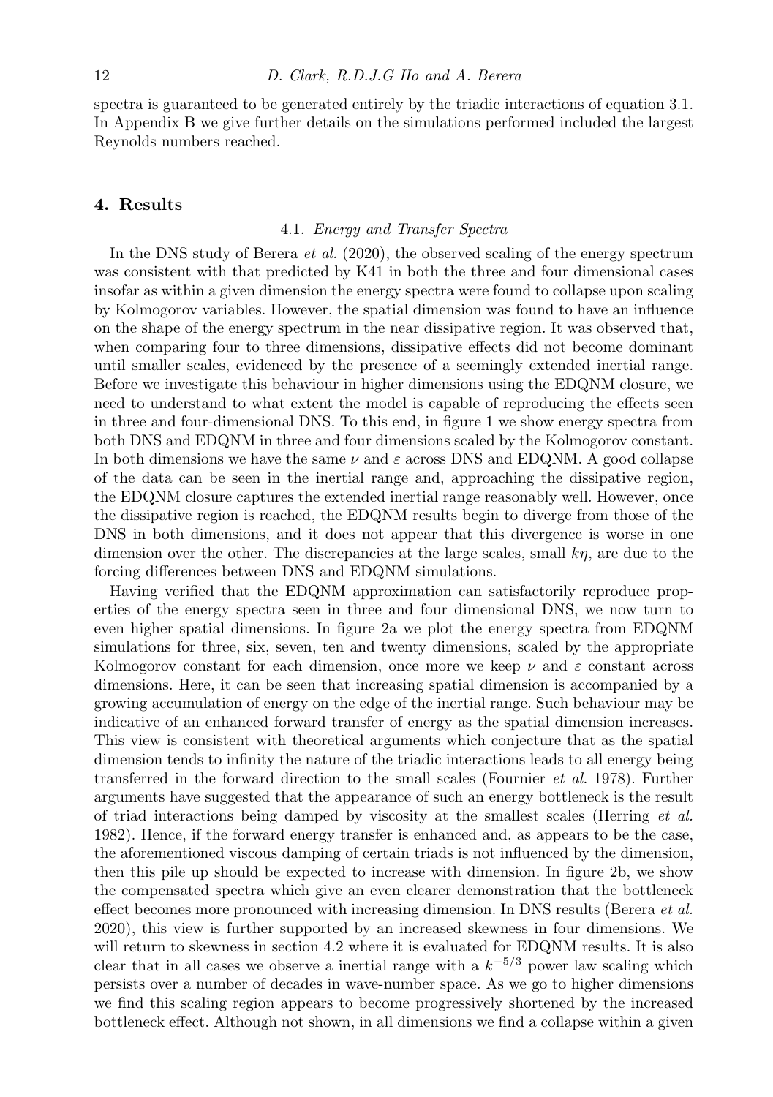spectra is guaranteed to be generated entirely by the triadic interactions of equation 3.1. In Appendix B we give further details on the simulations performed included the largest Reynolds numbers reached.

#### 4. Results

#### 4.1. Energy and Transfer Spectra

In the DNS study of Berera et al. (2020), the observed scaling of the energy spectrum was consistent with that predicted by K41 in both the three and four dimensional cases insofar as within a given dimension the energy spectra were found to collapse upon scaling by Kolmogorov variables. However, the spatial dimension was found to have an influence on the shape of the energy spectrum in the near dissipative region. It was observed that, when comparing four to three dimensions, dissipative effects did not become dominant until smaller scales, evidenced by the presence of a seemingly extended inertial range. Before we investigate this behaviour in higher dimensions using the EDQNM closure, we need to understand to what extent the model is capable of reproducing the effects seen in three and four-dimensional DNS. To this end, in figure 1 we show energy spectra from both DNS and EDQNM in three and four dimensions scaled by the Kolmogorov constant. In both dimensions we have the same  $\nu$  and  $\varepsilon$  across DNS and EDQNM. A good collapse of the data can be seen in the inertial range and, approaching the dissipative region, the EDQNM closure captures the extended inertial range reasonably well. However, once the dissipative region is reached, the EDQNM results begin to diverge from those of the DNS in both dimensions, and it does not appear that this divergence is worse in one dimension over the other. The discrepancies at the large scales, small  $k\eta$ , are due to the forcing differences between DNS and EDQNM simulations.

Having verified that the EDQNM approximation can satisfactorily reproduce properties of the energy spectra seen in three and four dimensional DNS, we now turn to even higher spatial dimensions. In figure 2a we plot the energy spectra from EDQNM simulations for three, six, seven, ten and twenty dimensions, scaled by the appropriate Kolmogorov constant for each dimension, once more we keep  $\nu$  and  $\varepsilon$  constant across dimensions. Here, it can be seen that increasing spatial dimension is accompanied by a growing accumulation of energy on the edge of the inertial range. Such behaviour may be indicative of an enhanced forward transfer of energy as the spatial dimension increases. This view is consistent with theoretical arguments which conjecture that as the spatial dimension tends to infinity the nature of the triadic interactions leads to all energy being transferred in the forward direction to the small scales (Fournier et al. 1978). Further arguments have suggested that the appearance of such an energy bottleneck is the result of triad interactions being damped by viscosity at the smallest scales (Herring  $et$  al. 1982). Hence, if the forward energy transfer is enhanced and, as appears to be the case, the aforementioned viscous damping of certain triads is not influenced by the dimension, then this pile up should be expected to increase with dimension. In figure 2b, we show the compensated spectra which give an even clearer demonstration that the bottleneck effect becomes more pronounced with increasing dimension. In DNS results (Berera et al. 2020), this view is further supported by an increased skewness in four dimensions. We will return to skewness in section 4.2 where it is evaluated for EDQNM results. It is also clear that in all cases we observe a inertial range with a  $k^{-5/3}$  power law scaling which persists over a number of decades in wave-number space. As we go to higher dimensions we find this scaling region appears to become progressively shortened by the increased bottleneck effect. Although not shown, in all dimensions we find a collapse within a given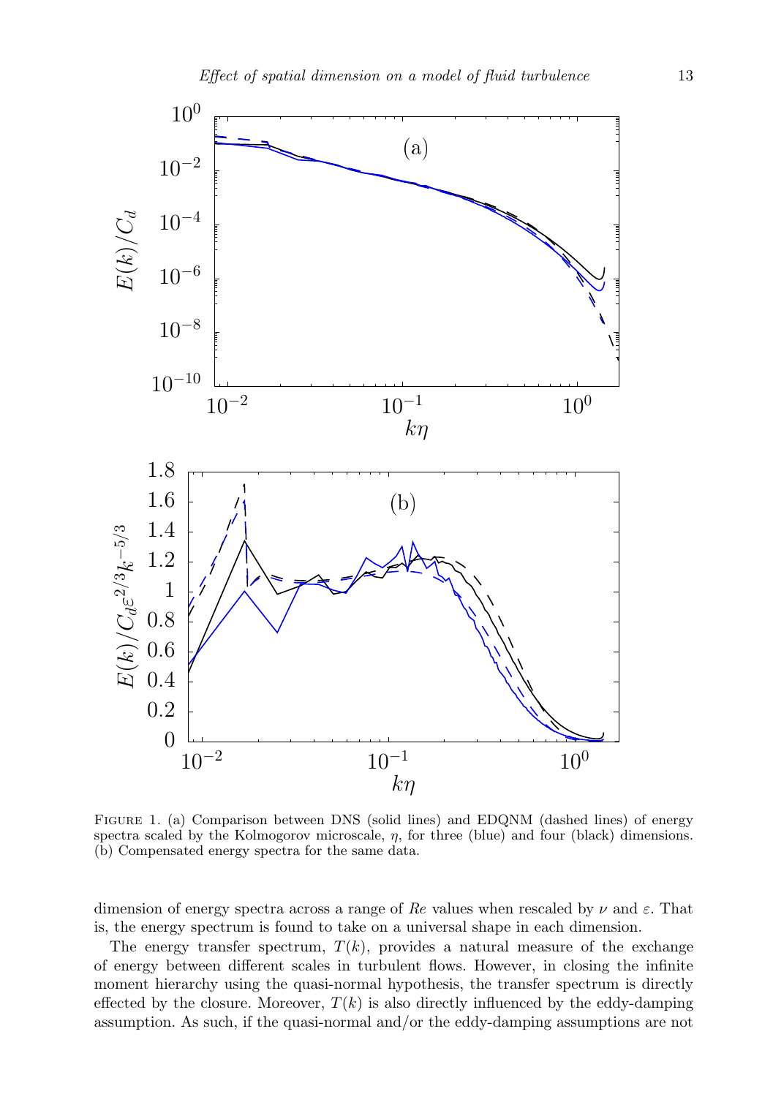

Figure 1. (a) Comparison between DNS (solid lines) and EDQNM (dashed lines) of energy spectra scaled by the Kolmogorov microscale,  $\eta$ , for three (blue) and four (black) dimensions. (b) Compensated energy spectra for the same data.

dimension of energy spectra across a range of Re values when rescaled by  $\nu$  and  $\varepsilon$ . That is, the energy spectrum is found to take on a universal shape in each dimension.

The energy transfer spectrum,  $T(k)$ , provides a natural measure of the exchange of energy between different scales in turbulent flows. However, in closing the infinite moment hierarchy using the quasi-normal hypothesis, the transfer spectrum is directly effected by the closure. Moreover,  $T(k)$  is also directly influenced by the eddy-damping assumption. As such, if the quasi-normal and/or the eddy-damping assumptions are not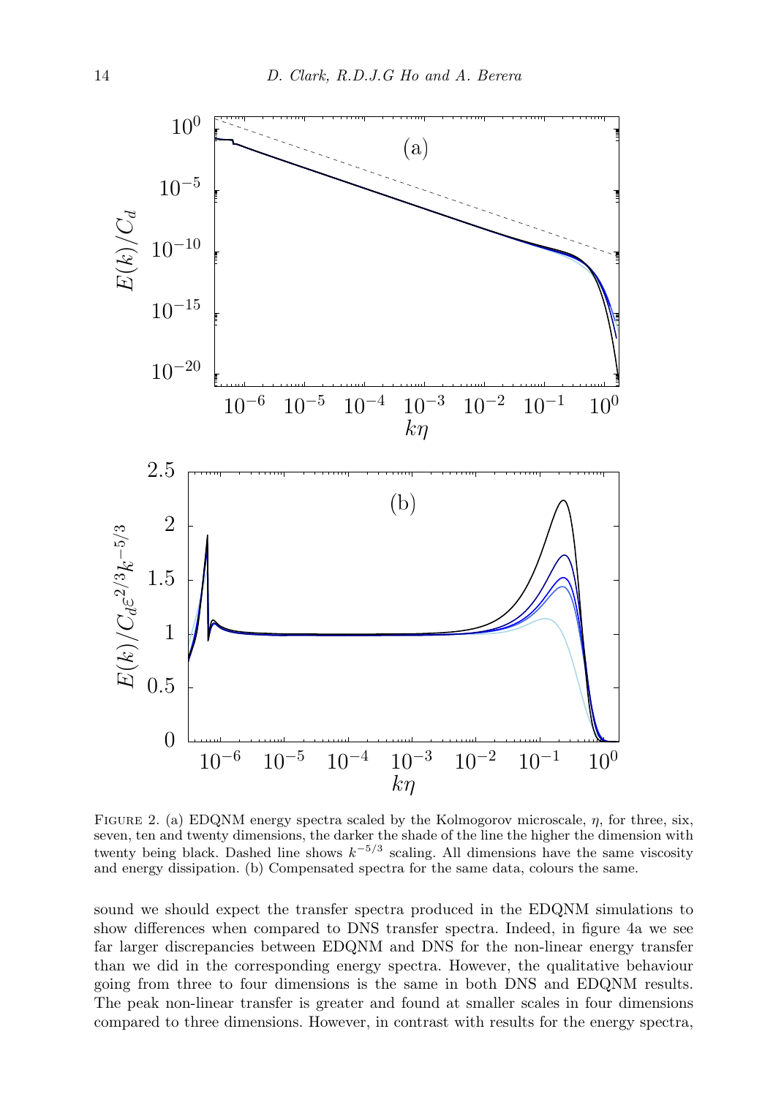

FIGURE 2. (a) EDQNM energy spectra scaled by the Kolmogorov microscale,  $\eta$ , for three, six, seven, ten and twenty dimensions, the darker the shade of the line the higher the dimension with twenty being black. Dashed line shows  $k^{-5/3}$  scaling. All dimensions have the same viscosity and energy dissipation. (b) Compensated spectra for the same data, colours the same.

sound we should expect the transfer spectra produced in the EDQNM simulations to show differences when compared to DNS transfer spectra. Indeed, in figure 4a we see far larger discrepancies between EDQNM and DNS for the non-linear energy transfer than we did in the corresponding energy spectra. However, the qualitative behaviour going from three to four dimensions is the same in both DNS and EDQNM results. The peak non-linear transfer is greater and found at smaller scales in four dimensions compared to three dimensions. However, in contrast with results for the energy spectra,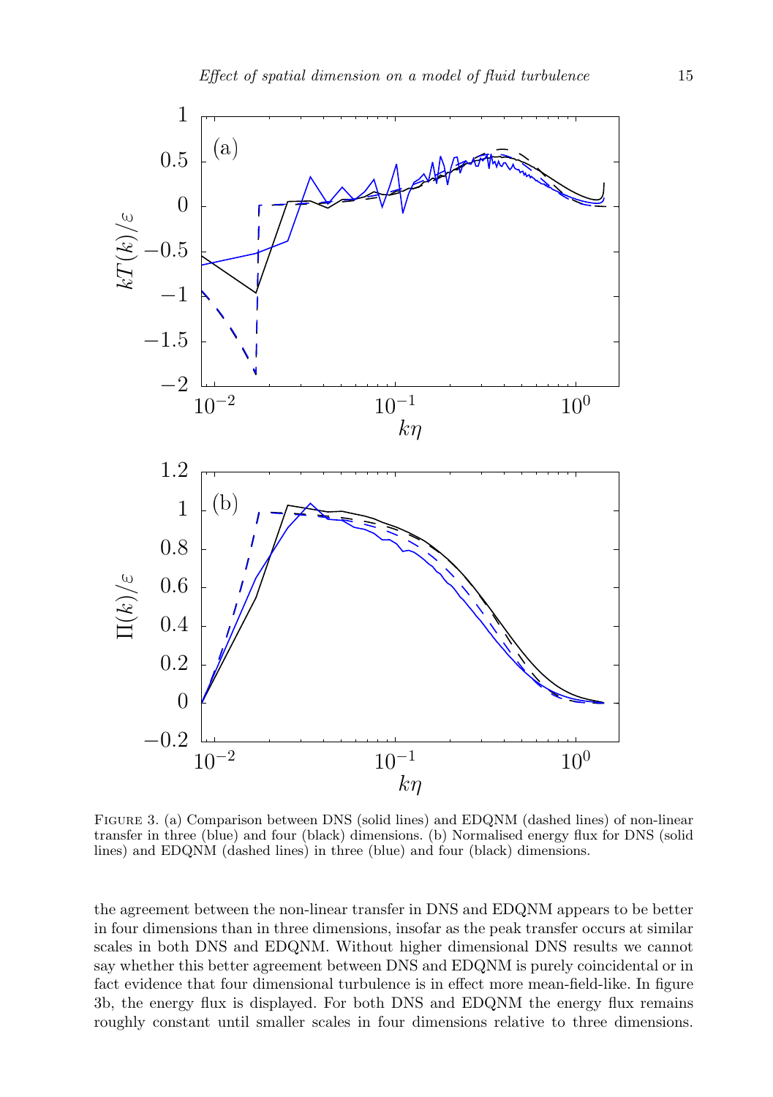

Figure 3. (a) Comparison between DNS (solid lines) and EDQNM (dashed lines) of non-linear transfer in three (blue) and four (black) dimensions. (b) Normalised energy flux for DNS (solid lines) and EDQNM (dashed lines) in three (blue) and four (black) dimensions.

the agreement between the non-linear transfer in DNS and EDQNM appears to be better in four dimensions than in three dimensions, insofar as the peak transfer occurs at similar scales in both DNS and EDQNM. Without higher dimensional DNS results we cannot say whether this better agreement between DNS and EDQNM is purely coincidental or in fact evidence that four dimensional turbulence is in effect more mean-field-like. In figure 3b, the energy flux is displayed. For both DNS and EDQNM the energy flux remains roughly constant until smaller scales in four dimensions relative to three dimensions.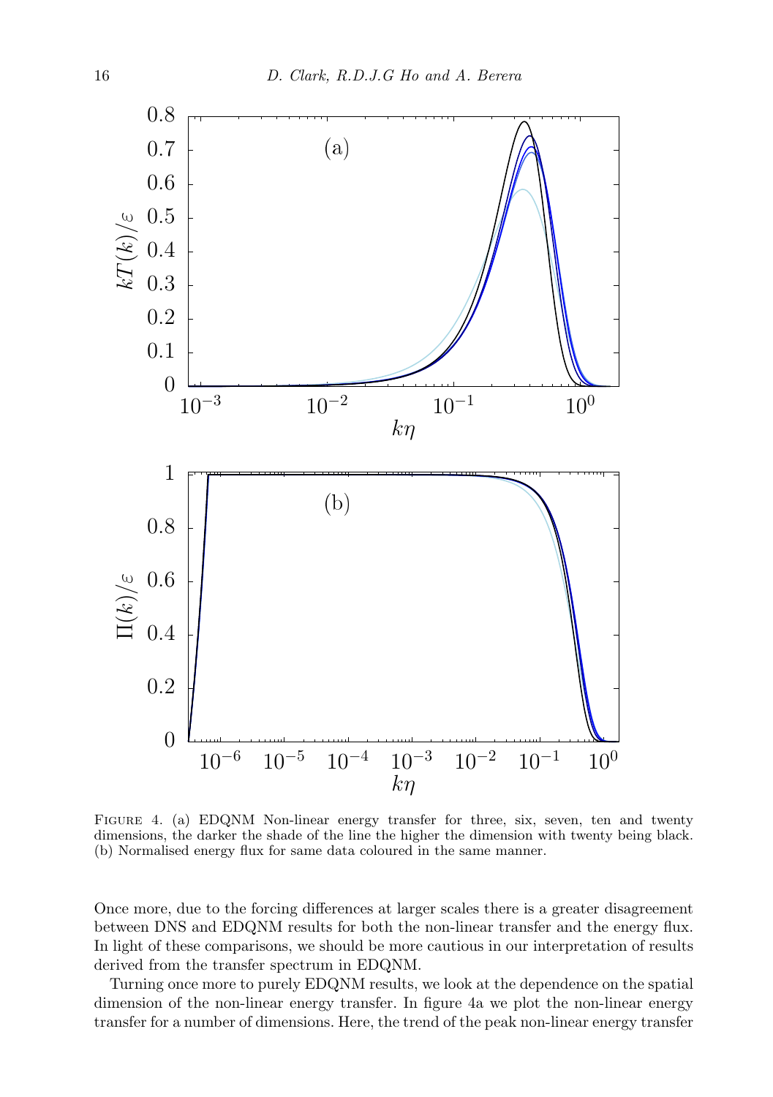

FIGURE 4. (a) EDQNM Non-linear energy transfer for three, six, seven, ten and twenty dimensions, the darker the shade of the line the higher the dimension with twenty being black. (b) Normalised energy flux for same data coloured in the same manner.

Once more, due to the forcing differences at larger scales there is a greater disagreement between DNS and EDQNM results for both the non-linear transfer and the energy flux. In light of these comparisons, we should be more cautious in our interpretation of results derived from the transfer spectrum in EDQNM.

Turning once more to purely EDQNM results, we look at the dependence on the spatial dimension of the non-linear energy transfer. In figure 4a we plot the non-linear energy transfer for a number of dimensions. Here, the trend of the peak non-linear energy transfer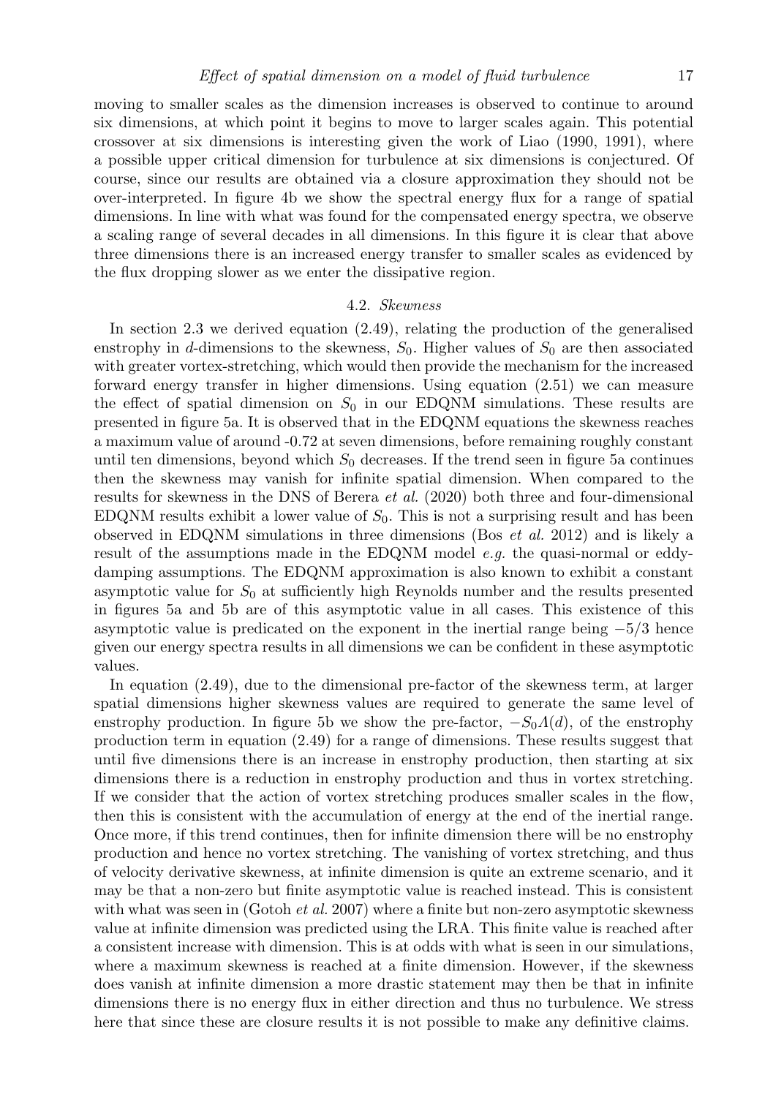moving to smaller scales as the dimension increases is observed to continue to around six dimensions, at which point it begins to move to larger scales again. This potential crossover at six dimensions is interesting given the work of Liao (1990, 1991), where a possible upper critical dimension for turbulence at six dimensions is conjectured. Of course, since our results are obtained via a closure approximation they should not be over-interpreted. In figure 4b we show the spectral energy flux for a range of spatial dimensions. In line with what was found for the compensated energy spectra, we observe a scaling range of several decades in all dimensions. In this figure it is clear that above three dimensions there is an increased energy transfer to smaller scales as evidenced by the flux dropping slower as we enter the dissipative region.

#### 4.2. Skewness

In section 2.3 we derived equation (2.49), relating the production of the generalised enstrophy in d-dimensions to the skewness,  $S_0$ . Higher values of  $S_0$  are then associated with greater vortex-stretching, which would then provide the mechanism for the increased forward energy transfer in higher dimensions. Using equation (2.51) we can measure the effect of spatial dimension on  $S_0$  in our EDQNM simulations. These results are presented in figure 5a. It is observed that in the EDQNM equations the skewness reaches a maximum value of around -0.72 at seven dimensions, before remaining roughly constant until ten dimensions, beyond which  $S_0$  decreases. If the trend seen in figure 5a continues then the skewness may vanish for infinite spatial dimension. When compared to the results for skewness in the DNS of Berera et al. (2020) both three and four-dimensional EDQNM results exhibit a lower value of  $S_0$ . This is not a surprising result and has been observed in EDQNM simulations in three dimensions (Bos et al. 2012) and is likely a result of the assumptions made in the EDQNM model e.g. the quasi-normal or eddydamping assumptions. The EDQNM approximation is also known to exhibit a constant asymptotic value for  $S_0$  at sufficiently high Reynolds number and the results presented in figures 5a and 5b are of this asymptotic value in all cases. This existence of this asymptotic value is predicated on the exponent in the inertial range being −5/3 hence given our energy spectra results in all dimensions we can be confident in these asymptotic values.

In equation (2.49), due to the dimensional pre-factor of the skewness term, at larger spatial dimensions higher skewness values are required to generate the same level of enstrophy production. In figure 5b we show the pre-factor,  $-S_0\Lambda(d)$ , of the enstrophy production term in equation (2.49) for a range of dimensions. These results suggest that until five dimensions there is an increase in enstrophy production, then starting at six dimensions there is a reduction in enstrophy production and thus in vortex stretching. If we consider that the action of vortex stretching produces smaller scales in the flow, then this is consistent with the accumulation of energy at the end of the inertial range. Once more, if this trend continues, then for infinite dimension there will be no enstrophy production and hence no vortex stretching. The vanishing of vortex stretching, and thus of velocity derivative skewness, at infinite dimension is quite an extreme scenario, and it may be that a non-zero but finite asymptotic value is reached instead. This is consistent with what was seen in (Gotoh *et al.* 2007) where a finite but non-zero asymptotic skewness value at infinite dimension was predicted using the LRA. This finite value is reached after a consistent increase with dimension. This is at odds with what is seen in our simulations, where a maximum skewness is reached at a finite dimension. However, if the skewness does vanish at infinite dimension a more drastic statement may then be that in infinite dimensions there is no energy flux in either direction and thus no turbulence. We stress here that since these are closure results it is not possible to make any definitive claims.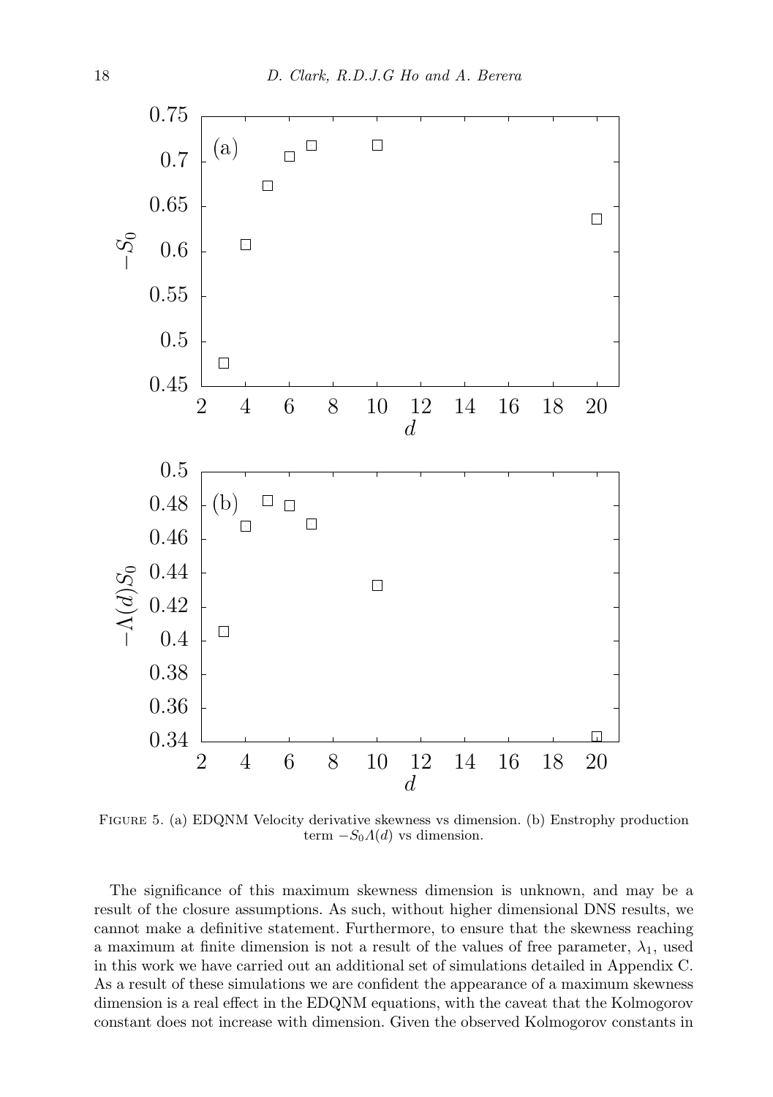

Figure 5. (a) EDQNM Velocity derivative skewness vs dimension. (b) Enstrophy production term  $-S_0A(d)$  vs dimension.

The significance of this maximum skewness dimension is unknown, and may be a result of the closure assumptions. As such, without higher dimensional DNS results, we cannot make a definitive statement. Furthermore, to ensure that the skewness reaching a maximum at finite dimension is not a result of the values of free parameter,  $\lambda_1$ , used in this work we have carried out an additional set of simulations detailed in Appendix C. As a result of these simulations we are confident the appearance of a maximum skewness dimension is a real effect in the EDQNM equations, with the caveat that the Kolmogorov constant does not increase with dimension. Given the observed Kolmogorov constants in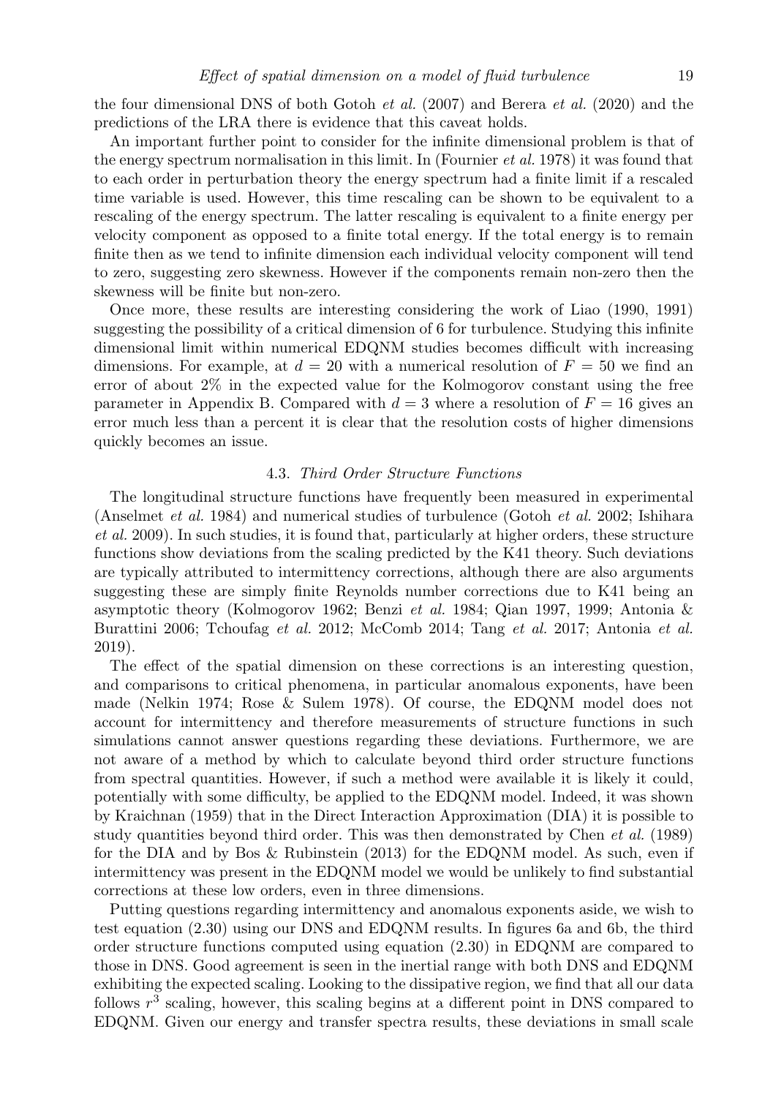the four dimensional DNS of both Gotoh et al. (2007) and Berera et al. (2020) and the predictions of the LRA there is evidence that this caveat holds.

An important further point to consider for the infinite dimensional problem is that of the energy spectrum normalisation in this limit. In (Fournier et al. 1978) it was found that to each order in perturbation theory the energy spectrum had a finite limit if a rescaled time variable is used. However, this time rescaling can be shown to be equivalent to a rescaling of the energy spectrum. The latter rescaling is equivalent to a finite energy per velocity component as opposed to a finite total energy. If the total energy is to remain finite then as we tend to infinite dimension each individual velocity component will tend to zero, suggesting zero skewness. However if the components remain non-zero then the skewness will be finite but non-zero.

Once more, these results are interesting considering the work of Liao (1990, 1991) suggesting the possibility of a critical dimension of 6 for turbulence. Studying this infinite dimensional limit within numerical EDQNM studies becomes difficult with increasing dimensions. For example, at  $d = 20$  with a numerical resolution of  $F = 50$  we find an error of about 2% in the expected value for the Kolmogorov constant using the free parameter in Appendix B. Compared with  $d = 3$  where a resolution of  $F = 16$  gives an error much less than a percent it is clear that the resolution costs of higher dimensions quickly becomes an issue.

#### 4.3. Third Order Structure Functions

The longitudinal structure functions have frequently been measured in experimental (Anselmet et al. 1984) and numerical studies of turbulence (Gotoh et al. 2002; Ishihara et al. 2009). In such studies, it is found that, particularly at higher orders, these structure functions show deviations from the scaling predicted by the K41 theory. Such deviations are typically attributed to intermittency corrections, although there are also arguments suggesting these are simply finite Reynolds number corrections due to K41 being an asymptotic theory (Kolmogorov 1962; Benzi et al. 1984; Qian 1997, 1999; Antonia & Burattini 2006; Tchoufag et al. 2012; McComb 2014; Tang et al. 2017; Antonia et al. 2019).

The effect of the spatial dimension on these corrections is an interesting question, and comparisons to critical phenomena, in particular anomalous exponents, have been made (Nelkin 1974; Rose & Sulem 1978). Of course, the EDQNM model does not account for intermittency and therefore measurements of structure functions in such simulations cannot answer questions regarding these deviations. Furthermore, we are not aware of a method by which to calculate beyond third order structure functions from spectral quantities. However, if such a method were available it is likely it could, potentially with some difficulty, be applied to the EDQNM model. Indeed, it was shown by Kraichnan (1959) that in the Direct Interaction Approximation (DIA) it is possible to study quantities beyond third order. This was then demonstrated by Chen et al. (1989) for the DIA and by Bos & Rubinstein (2013) for the EDQNM model. As such, even if intermittency was present in the EDQNM model we would be unlikely to find substantial corrections at these low orders, even in three dimensions.

Putting questions regarding intermittency and anomalous exponents aside, we wish to test equation (2.30) using our DNS and EDQNM results. In figures 6a and 6b, the third order structure functions computed using equation (2.30) in EDQNM are compared to those in DNS. Good agreement is seen in the inertial range with both DNS and EDQNM exhibiting the expected scaling. Looking to the dissipative region, we find that all our data follows  $r<sup>3</sup>$  scaling, however, this scaling begins at a different point in DNS compared to EDQNM. Given our energy and transfer spectra results, these deviations in small scale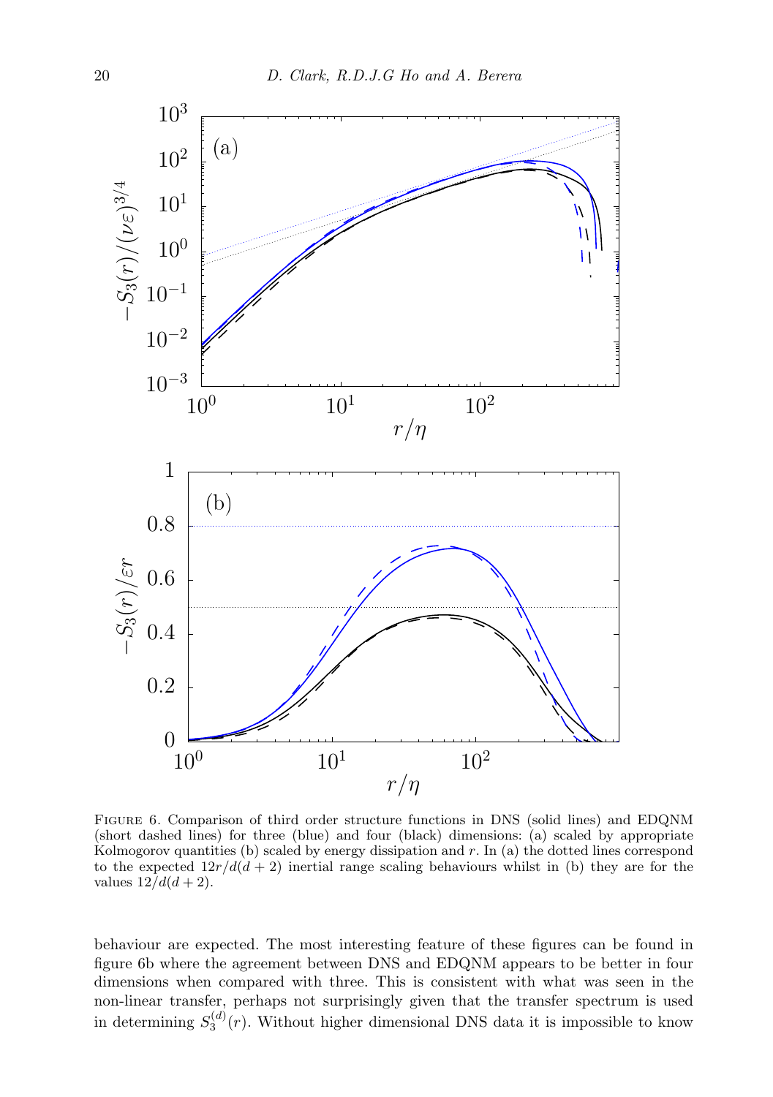

Figure 6. Comparison of third order structure functions in DNS (solid lines) and EDQNM (short dashed lines) for three (blue) and four (black) dimensions: (a) scaled by appropriate Kolmogorov quantities (b) scaled by energy dissipation and r. In (a) the dotted lines correspond to the expected  $12r/d(d+2)$  inertial range scaling behaviours whilst in (b) they are for the values  $12/d(d+2)$ .

behaviour are expected. The most interesting feature of these figures can be found in figure 6b where the agreement between DNS and EDQNM appears to be better in four dimensions when compared with three. This is consistent with what was seen in the non-linear transfer, perhaps not surprisingly given that the transfer spectrum is used in determining  $S_3^{(d)}(r)$ . Without higher dimensional DNS data it is impossible to know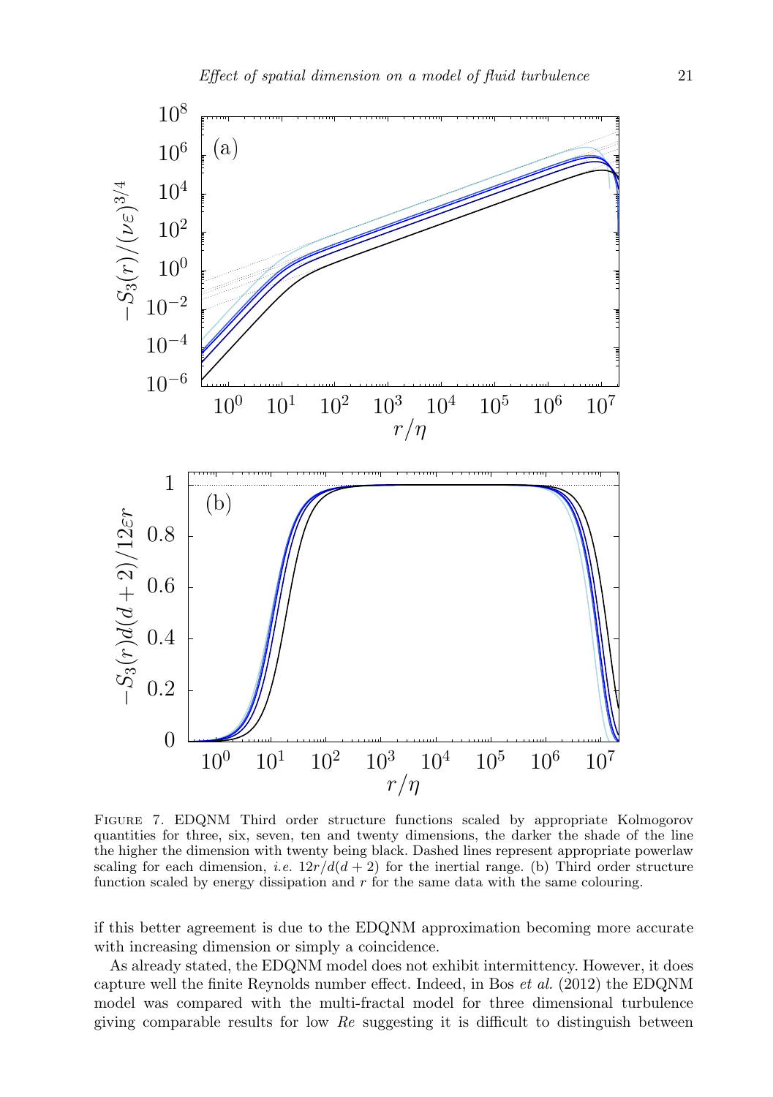

Figure 7. EDQNM Third order structure functions scaled by appropriate Kolmogorov quantities for three, six, seven, ten and twenty dimensions, the darker the shade of the line the higher the dimension with twenty being black. Dashed lines represent appropriate powerlaw scaling for each dimension, i.e.  $12r/d(d+2)$  for the inertial range. (b) Third order structure function scaled by energy dissipation and  $r$  for the same data with the same colouring.

if this better agreement is due to the EDQNM approximation becoming more accurate with increasing dimension or simply a coincidence.

As already stated, the EDQNM model does not exhibit intermittency. However, it does capture well the finite Reynolds number effect. Indeed, in Bos et al. (2012) the EDQNM model was compared with the multi-fractal model for three dimensional turbulence giving comparable results for low  $Re$  suggesting it is difficult to distinguish between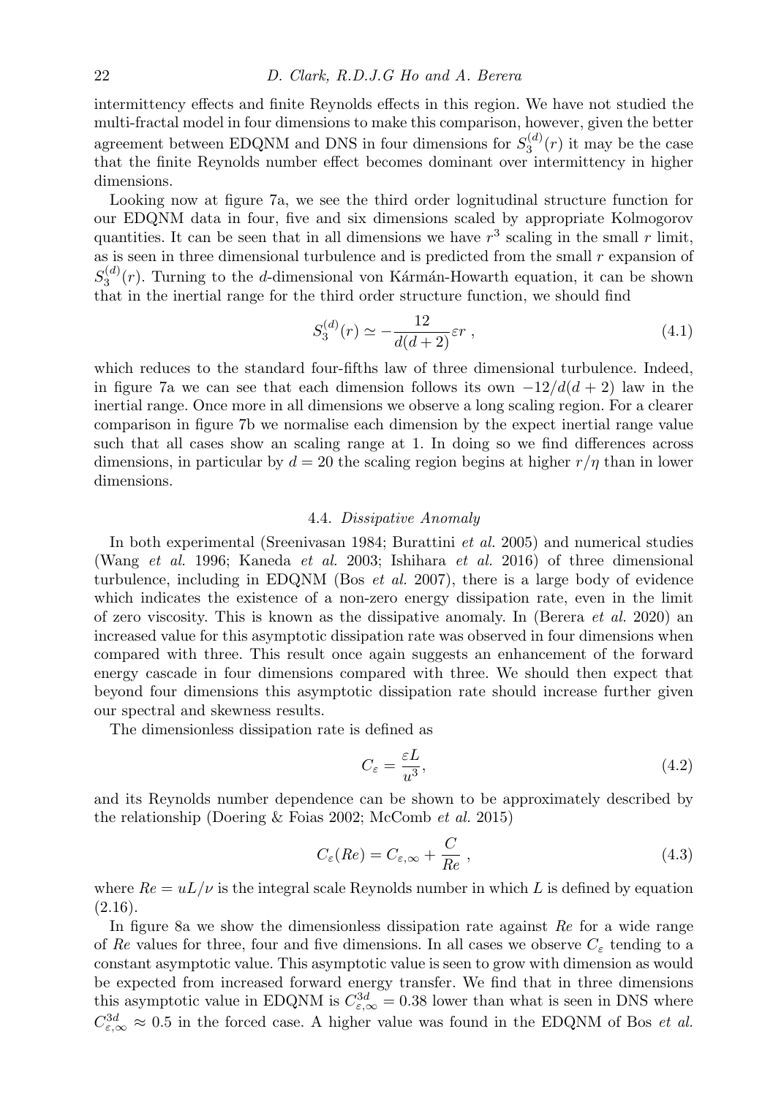intermittency effects and finite Reynolds effects in this region. We have not studied the multi-fractal model in four dimensions to make this comparison, however, given the better agreement between EDQNM and DNS in four dimensions for  $S_3^{(d)}(r)$  it may be the case that the finite Reynolds number effect becomes dominant over intermittency in higher dimensions.

Looking now at figure 7a, we see the third order lognitudinal structure function for our EDQNM data in four, five and six dimensions scaled by appropriate Kolmogorov quantities. It can be seen that in all dimensions we have  $r^3$  scaling in the small r limit, as is seen in three dimensional turbulence and is predicted from the small  $r$  expansion of  $S_3^{(d)}(r)$ . Turning to the d-dimensional von Kármán-Howarth equation, it can be shown that in the inertial range for the third order structure function, we should find

$$
S_3^{(d)}(r) \simeq -\frac{12}{d(d+2)} \varepsilon r \;, \tag{4.1}
$$

which reduces to the standard four-fifths law of three dimensional turbulence. Indeed, in figure 7a we can see that each dimension follows its own  $-12/d(d+2)$  law in the inertial range. Once more in all dimensions we observe a long scaling region. For a clearer comparison in figure 7b we normalise each dimension by the expect inertial range value such that all cases show an scaling range at 1. In doing so we find differences across dimensions, in particular by  $d = 20$  the scaling region begins at higher  $r/\eta$  than in lower dimensions.

#### 4.4. Dissipative Anomaly

In both experimental (Sreenivasan 1984; Burattini et al. 2005) and numerical studies (Wang et al. 1996; Kaneda et al. 2003; Ishihara et al. 2016) of three dimensional turbulence, including in EDQNM (Bos *et al.* 2007), there is a large body of evidence which indicates the existence of a non-zero energy dissipation rate, even in the limit of zero viscosity. This is known as the dissipative anomaly. In (Berera *et al.* 2020) an increased value for this asymptotic dissipation rate was observed in four dimensions when compared with three. This result once again suggests an enhancement of the forward energy cascade in four dimensions compared with three. We should then expect that beyond four dimensions this asymptotic dissipation rate should increase further given our spectral and skewness results.

The dimensionless dissipation rate is defined as

$$
C_{\varepsilon} = \frac{\varepsilon L}{u^3},\tag{4.2}
$$

and its Reynolds number dependence can be shown to be approximately described by the relationship (Doering & Foias 2002; McComb et al. 2015)

$$
C_{\varepsilon}(Re) = C_{\varepsilon,\infty} + \frac{C}{Re} , \qquad (4.3)
$$

where  $Re = uL/\nu$  is the integral scale Reynolds number in which L is defined by equation  $(2.16).$ 

In figure 8a we show the dimensionless dissipation rate against  $Re$  for a wide range of Re values for three, four and five dimensions. In all cases we observe  $C_{\varepsilon}$  tending to a constant asymptotic value. This asymptotic value is seen to grow with dimension as would be expected from increased forward energy transfer. We find that in three dimensions this asymptotic value in EDQNM is  $C_{\varepsilon,\infty}^{3d} = 0.38$  lower than what is seen in DNS where  $C_{\varepsilon,\infty}^{3d} \approx 0.5$  in the forced case. A higher value was found in the EDQNM of Bos *et al.*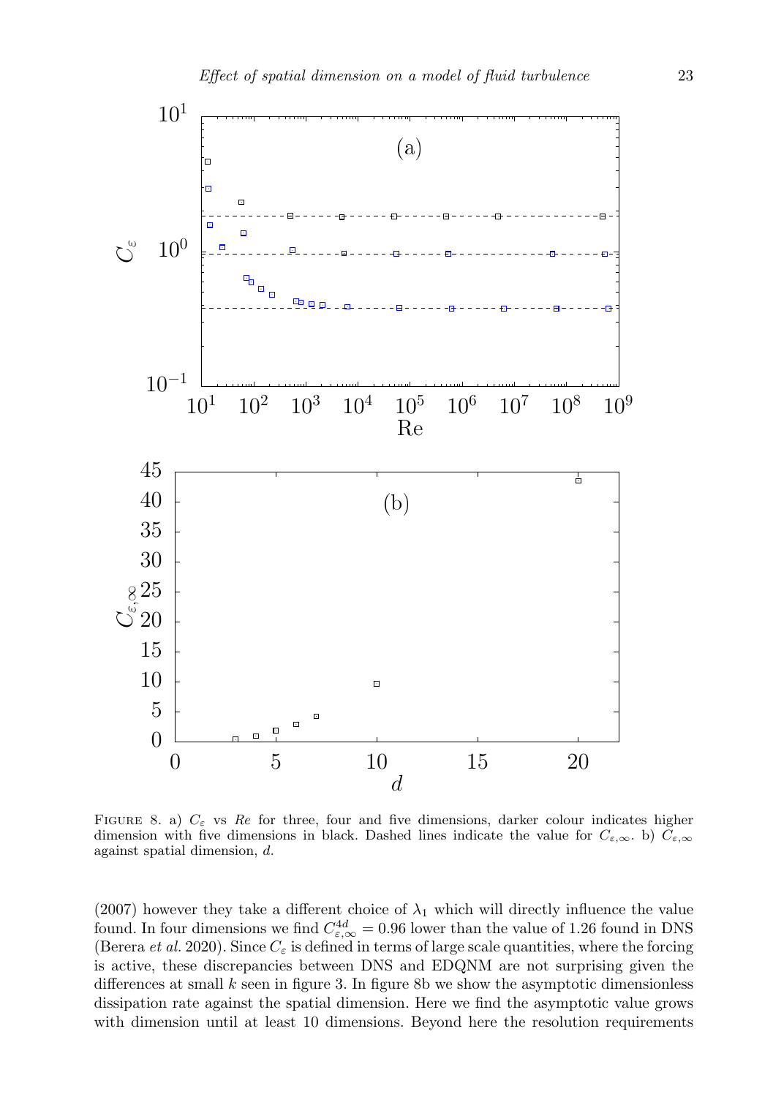

FIGURE 8. a)  $C_{\varepsilon}$  vs Re for three, four and five dimensions, darker colour indicates higher dimension with five dimensions in black. Dashed lines indicate the value for  $C_{\varepsilon,\infty}$ . b)  $\tilde{C}_{\varepsilon,\infty}$ against spatial dimension, d.

(2007) however they take a different choice of  $\lambda_1$  which will directly influence the value found. In four dimensions we find  $C_{\varepsilon,\infty}^{4d} = 0.96$  lower than the value of 1.26 found in DNS (Berera et al. 2020). Since  $C_{\varepsilon}$  is defined in terms of large scale quantities, where the forcing is active, these discrepancies between DNS and EDQNM are not surprising given the differences at small  $k$  seen in figure 3. In figure 8b we show the asymptotic dimensionless dissipation rate against the spatial dimension. Here we find the asymptotic value grows with dimension until at least 10 dimensions. Beyond here the resolution requirements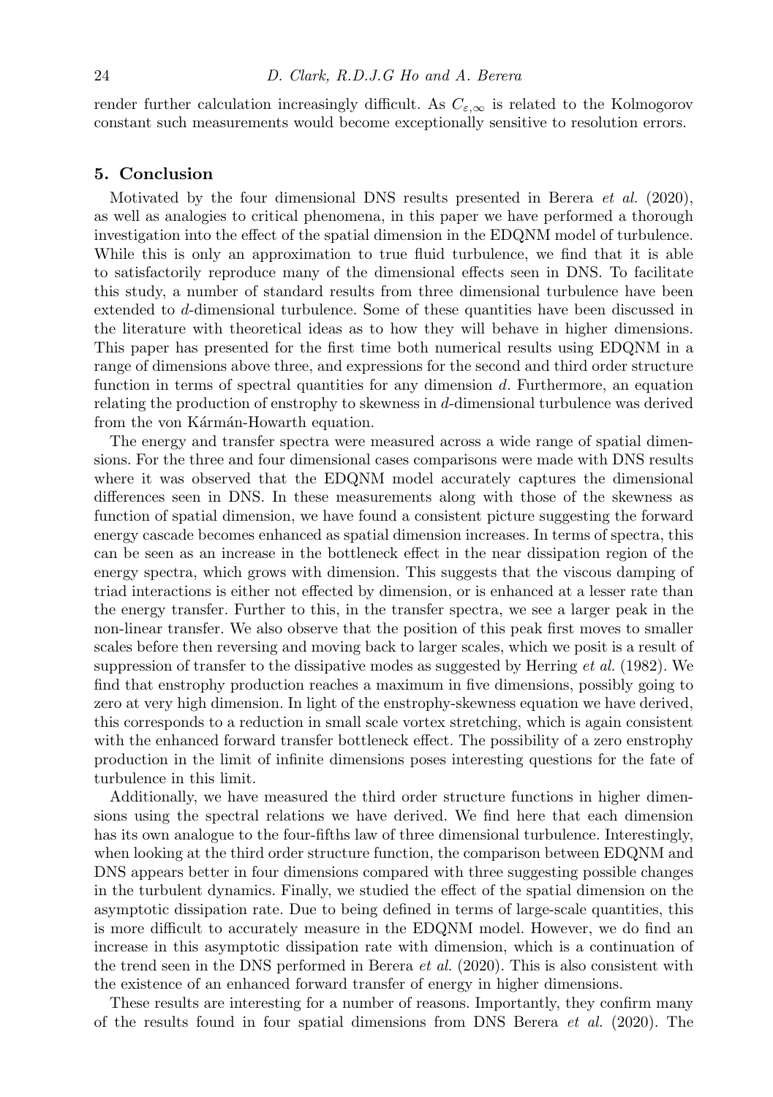render further calculation increasingly difficult. As  $C_{\epsilon,\infty}$  is related to the Kolmogorov constant such measurements would become exceptionally sensitive to resolution errors.

#### 5. Conclusion

Motivated by the four dimensional DNS results presented in Berera et al. (2020), as well as analogies to critical phenomena, in this paper we have performed a thorough investigation into the effect of the spatial dimension in the EDQNM model of turbulence. While this is only an approximation to true fluid turbulence, we find that it is able to satisfactorily reproduce many of the dimensional effects seen in DNS. To facilitate this study, a number of standard results from three dimensional turbulence have been extended to d-dimensional turbulence. Some of these quantities have been discussed in the literature with theoretical ideas as to how they will behave in higher dimensions. This paper has presented for the first time both numerical results using EDQNM in a range of dimensions above three, and expressions for the second and third order structure function in terms of spectral quantities for any dimension  $d$ . Furthermore, an equation relating the production of enstrophy to skewness in d-dimensional turbulence was derived from the von Kármán-Howarth equation.

The energy and transfer spectra were measured across a wide range of spatial dimensions. For the three and four dimensional cases comparisons were made with DNS results where it was observed that the EDQNM model accurately captures the dimensional differences seen in DNS. In these measurements along with those of the skewness as function of spatial dimension, we have found a consistent picture suggesting the forward energy cascade becomes enhanced as spatial dimension increases. In terms of spectra, this can be seen as an increase in the bottleneck effect in the near dissipation region of the energy spectra, which grows with dimension. This suggests that the viscous damping of triad interactions is either not effected by dimension, or is enhanced at a lesser rate than the energy transfer. Further to this, in the transfer spectra, we see a larger peak in the non-linear transfer. We also observe that the position of this peak first moves to smaller scales before then reversing and moving back to larger scales, which we posit is a result of suppression of transfer to the dissipative modes as suggested by Herring et al. (1982). We find that enstrophy production reaches a maximum in five dimensions, possibly going to zero at very high dimension. In light of the enstrophy-skewness equation we have derived, this corresponds to a reduction in small scale vortex stretching, which is again consistent with the enhanced forward transfer bottleneck effect. The possibility of a zero enstrophy production in the limit of infinite dimensions poses interesting questions for the fate of turbulence in this limit.

Additionally, we have measured the third order structure functions in higher dimensions using the spectral relations we have derived. We find here that each dimension has its own analogue to the four-fifths law of three dimensional turbulence. Interestingly, when looking at the third order structure function, the comparison between EDQNM and DNS appears better in four dimensions compared with three suggesting possible changes in the turbulent dynamics. Finally, we studied the effect of the spatial dimension on the asymptotic dissipation rate. Due to being defined in terms of large-scale quantities, this is more difficult to accurately measure in the EDQNM model. However, we do find an increase in this asymptotic dissipation rate with dimension, which is a continuation of the trend seen in the DNS performed in Berera et al. (2020). This is also consistent with the existence of an enhanced forward transfer of energy in higher dimensions.

These results are interesting for a number of reasons. Importantly, they confirm many of the results found in four spatial dimensions from DNS Berera  $et \, al.$  (2020). The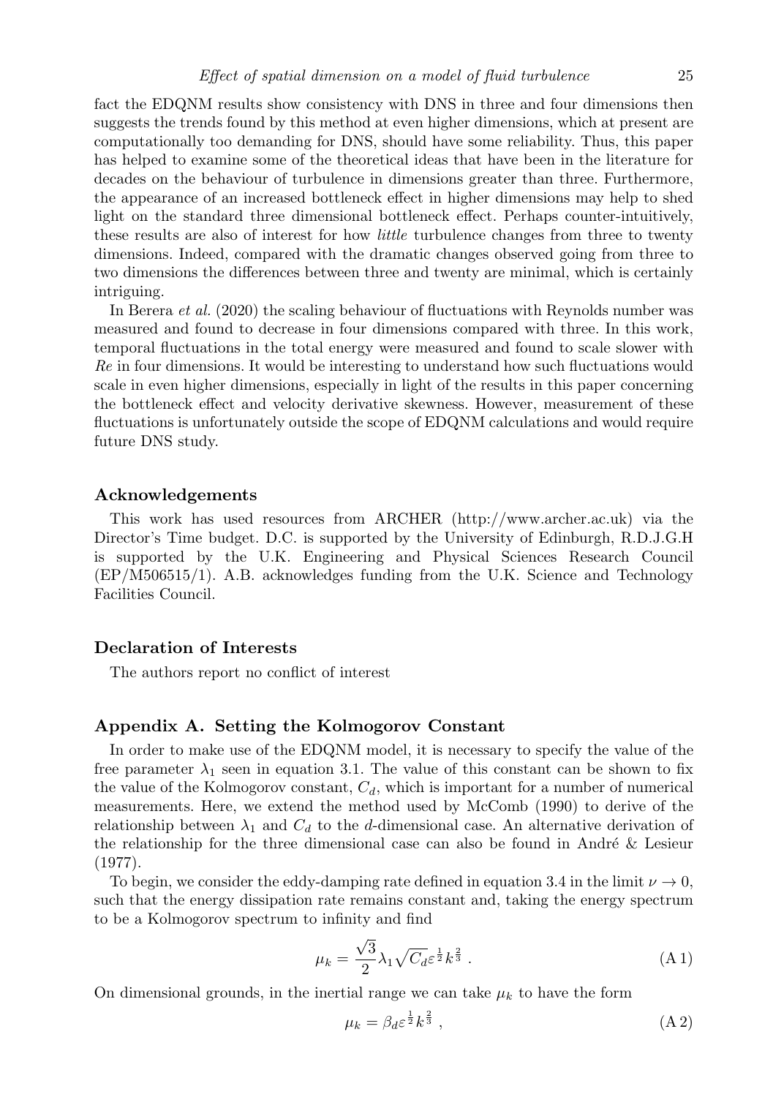fact the EDQNM results show consistency with DNS in three and four dimensions then suggests the trends found by this method at even higher dimensions, which at present are computationally too demanding for DNS, should have some reliability. Thus, this paper has helped to examine some of the theoretical ideas that have been in the literature for decades on the behaviour of turbulence in dimensions greater than three. Furthermore, the appearance of an increased bottleneck effect in higher dimensions may help to shed light on the standard three dimensional bottleneck effect. Perhaps counter-intuitively, these results are also of interest for how *little* turbulence changes from three to twenty dimensions. Indeed, compared with the dramatic changes observed going from three to two dimensions the differences between three and twenty are minimal, which is certainly intriguing.

In Berera et al. (2020) the scaling behaviour of fluctuations with Reynolds number was measured and found to decrease in four dimensions compared with three. In this work, temporal fluctuations in the total energy were measured and found to scale slower with Re in four dimensions. It would be interesting to understand how such fluctuations would scale in even higher dimensions, especially in light of the results in this paper concerning the bottleneck effect and velocity derivative skewness. However, measurement of these fluctuations is unfortunately outside the scope of EDQNM calculations and would require future DNS study.

#### Acknowledgements

This work has used resources from ARCHER (http://www.archer.ac.uk) via the Director's Time budget. D.C. is supported by the University of Edinburgh, R.D.J.G.H is supported by the U.K. Engineering and Physical Sciences Research Council (EP/M506515/1). A.B. acknowledges funding from the U.K. Science and Technology Facilities Council.

#### Declaration of Interests

The authors report no conflict of interest

#### Appendix A. Setting the Kolmogorov Constant

In order to make use of the EDQNM model, it is necessary to specify the value of the free parameter  $\lambda_1$  seen in equation 3.1. The value of this constant can be shown to fix the value of the Kolmogorov constant,  $C_d$ , which is important for a number of numerical measurements. Here, we extend the method used by McComb (1990) to derive of the relationship between  $\lambda_1$  and  $C_d$  to the d-dimensional case. An alternative derivation of the relationship for the three dimensional case can also be found in André  $\&$  Lesieur (1977).

To begin, we consider the eddy-damping rate defined in equation 3.4 in the limit  $\nu \rightarrow 0$ , such that the energy dissipation rate remains constant and, taking the energy spectrum to be a Kolmogorov spectrum to infinity and find

$$
\mu_k = \frac{\sqrt{3}}{2} \lambda_1 \sqrt{C_d} \varepsilon^{\frac{1}{2}} k^{\frac{2}{3}} . \tag{A1}
$$

On dimensional grounds, in the inertial range we can take  $\mu_k$  to have the form

$$
\mu_k = \beta_d \varepsilon^{\frac{1}{2}} k^{\frac{2}{3}} \,, \tag{A.2}
$$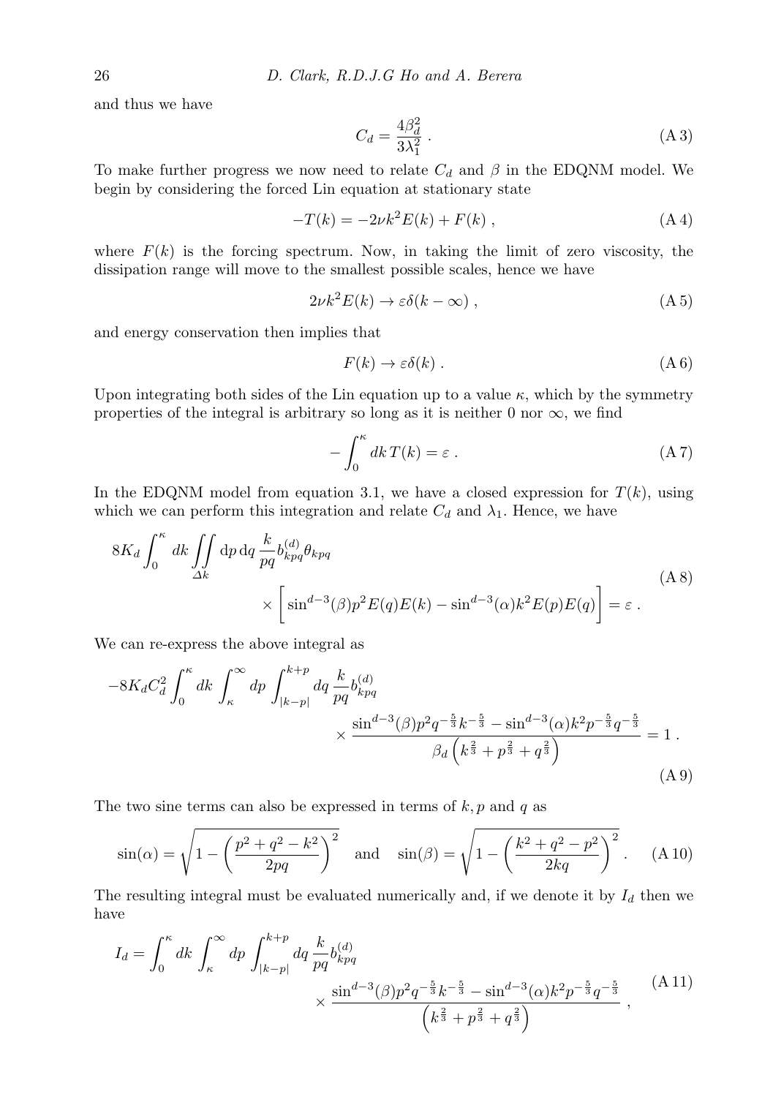and thus we have

$$
C_d = \frac{4\beta_d^2}{3\lambda_1^2} \,. \tag{A3}
$$

To make further progress we now need to relate  $C_d$  and  $\beta$  in the EDQNM model. We begin by considering the forced Lin equation at stationary state

$$
-T(k) = -2\nu k^2 E(k) + F(k) , \qquad (A 4)
$$

where  $F(k)$  is the forcing spectrum. Now, in taking the limit of zero viscosity, the dissipation range will move to the smallest possible scales, hence we have

$$
2\nu k^2 E(k) \to \varepsilon \delta(k - \infty) , \qquad (A.5)
$$

and energy conservation then implies that

$$
F(k) \to \varepsilon \delta(k) . \tag{A 6}
$$

Upon integrating both sides of the Lin equation up to a value  $\kappa$ , which by the symmetry properties of the integral is arbitrary so long as it is neither 0 nor  $\infty$ , we find

$$
-\int_0^\kappa dk \, T(k) = \varepsilon \,. \tag{A.7}
$$

In the EDQNM model from equation 3.1, we have a closed expression for  $T(k)$ , using which we can perform this integration and relate  $C_d$  and  $\lambda_1$ . Hence, we have

$$
8K_d \int_0^{\kappa} dk \iint_{\Delta k} dp dq \frac{k}{pq} b_{kpq}^{(d)} \theta_{kpq}
$$
  
 
$$
\times \left[ \sin^{d-3}(\beta) p^2 E(q) E(k) - \sin^{d-3}(\alpha) k^2 E(p) E(q) \right] = \varepsilon.
$$
 (A 8)

We can re-express the above integral as

$$
-8K_dC_d^2 \int_0^{\kappa} dk \int_{\kappa}^{\infty} dp \int_{|k-p|}^{k+p} dq \frac{k}{pq} b_{kpq}^{(d)}
$$
  
 
$$
\times \frac{\sin^{d-3}(\beta)p^2 q^{-\frac{5}{3}} k^{-\frac{5}{3}} - \sin^{d-3}(\alpha)k^2 p^{-\frac{5}{3}} q^{-\frac{5}{3}}}{\beta_d \left(k^{\frac{2}{3}} + p^{\frac{2}{3}} + q^{\frac{2}{3}}\right)} = 1.
$$
 (A9)

The two sine terms can also be expressed in terms of  $k, p$  and q as

$$
\sin(\alpha) = \sqrt{1 - \left(\frac{p^2 + q^2 - k^2}{2pq}\right)^2}
$$
 and  $\sin(\beta) = \sqrt{1 - \left(\frac{k^2 + q^2 - p^2}{2kq}\right)^2}$ . (A10)

The resulting integral must be evaluated numerically and, if we denote it by  $I_d$  then we have

$$
I_d = \int_0^{\kappa} dk \int_{\kappa}^{\infty} dp \int_{|k-p|}^{k+p} dq \frac{k}{pq} b_{kpq}^{(d)}
$$
  
 
$$
\times \frac{\sin^{d-3}(\beta) p^2 q^{-\frac{5}{3}} k^{-\frac{5}{3}} - \sin^{d-3}(\alpha) k^2 p^{-\frac{5}{3}} q^{-\frac{5}{3}}}{\left(k^{\frac{2}{3}} + p^{\frac{2}{3}} + q^{\frac{2}{3}}\right)}, \quad (A 11)
$$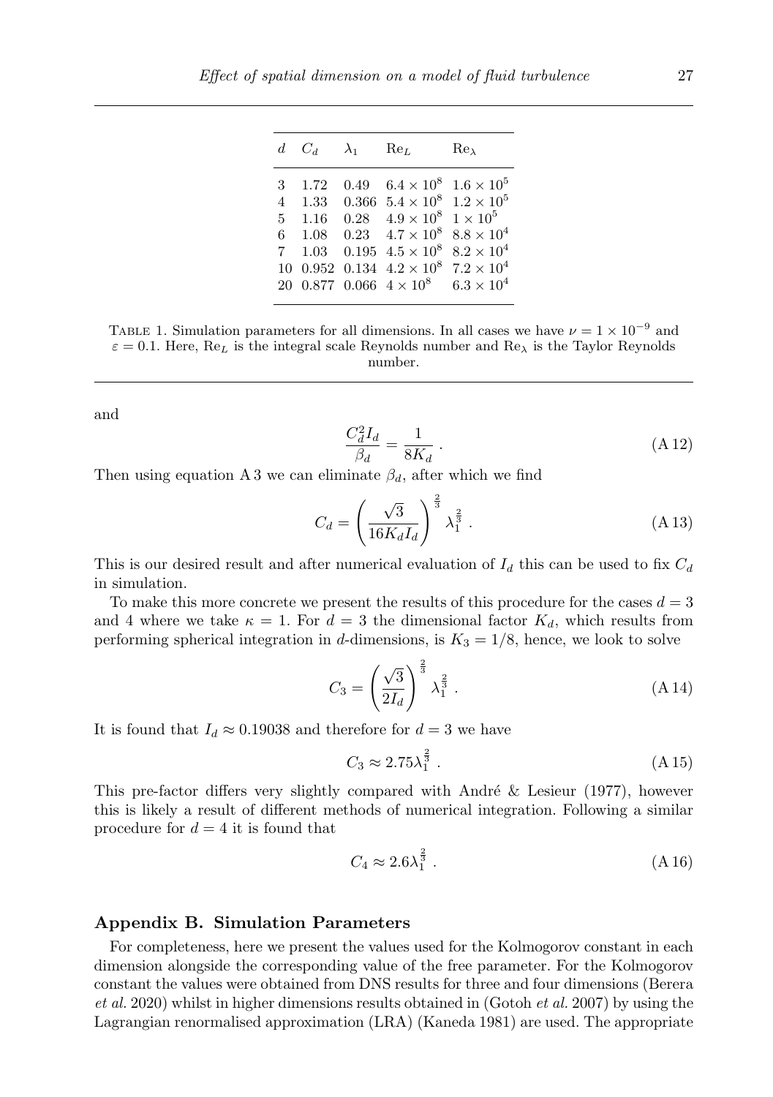| 0.49 $6.4 \times 10^8$<br>1.72<br>3<br>0.366 $5.4 \times 10^8$ $1.2 \times 10^5$<br>$4 \quad 1.33$<br>$1 \times 10^5$<br>$0.28 \quad 4.9 \times 10^8$<br>$5 \quad 1.16$<br>$0.23 \quad 4.7 \times 10^8$<br>$6 \quad 1.08$<br>$0.195 \; 4.5 \times 10^8$<br>$1.03 -$<br>$7^{\circ}$<br>10 0.952 0.134 $4.2 \times 10^8$<br>20 0.877 0.066 $4 \times 10^8$ |  | $d$ $C_d$ | $\lambda_1$ Re <sub>L</sub> | $Re_{\lambda}$                                                                                                  |
|----------------------------------------------------------------------------------------------------------------------------------------------------------------------------------------------------------------------------------------------------------------------------------------------------------------------------------------------------------|--|-----------|-----------------------------|-----------------------------------------------------------------------------------------------------------------|
|                                                                                                                                                                                                                                                                                                                                                          |  |           |                             | $1.6 \times 10^{5}$<br>$8.8 \times 10^{4}$<br>$8.2 \times 10^{4}$<br>$7.2 \times 10^{4}$<br>$6.3 \times 10^{4}$ |

TABLE 1. Simulation parameters for all dimensions. In all cases we have  $\nu = 1 \times 10^{-9}$  and  $\varepsilon = 0.1$ . Here, Re<sub>L</sub> is the integral scale Reynolds number and Re<sub> $\lambda$ </sub> is the Taylor Reynolds number.

and

$$
\frac{C_d^2 I_d}{\beta_d} = \frac{1}{8K_d} \,. \tag{A.12}
$$

Then using equation A 3 we can eliminate  $\beta_d$ , after which we find

$$
C_d = \left(\frac{\sqrt{3}}{16K_d I_d}\right)^{\frac{2}{3}} \lambda_1^{\frac{2}{3}}.
$$
 (A 13)

This is our desired result and after numerical evaluation of  $I_d$  this can be used to fix  $C_d$ in simulation.

To make this more concrete we present the results of this procedure for the cases  $d = 3$ and 4 where we take  $\kappa = 1$ . For  $d = 3$  the dimensional factor  $K_d$ , which results from performing spherical integration in d-dimensions, is  $K_3 = 1/8$ , hence, we look to solve

$$
C_3 = \left(\frac{\sqrt{3}}{2I_d}\right)^{\frac{2}{3}} \lambda_1^{\frac{2}{3}}.
$$
 (A 14)

It is found that  $I_d \approx 0.19038$  and therefore for  $d = 3$  we have

$$
C_3 \approx 2.75\lambda_1^{\frac{2}{3}}\,. \tag{A15}
$$

This pre-factor differs very slightly compared with André  $\&$  Lesieur (1977), however this is likely a result of different methods of numerical integration. Following a similar procedure for  $d = 4$  it is found that

$$
C_4 \approx 2.6\lambda_1^{\frac{2}{3}}\,. \tag{A.16}
$$

#### Appendix B. Simulation Parameters

For completeness, here we present the values used for the Kolmogorov constant in each dimension alongside the corresponding value of the free parameter. For the Kolmogorov constant the values were obtained from DNS results for three and four dimensions (Berera  $et al. 2020$ ) whilst in higher dimensions results obtained in (Gotoh  $et al. 2007$ ) by using the Lagrangian renormalised approximation (LRA) (Kaneda 1981) are used. The appropriate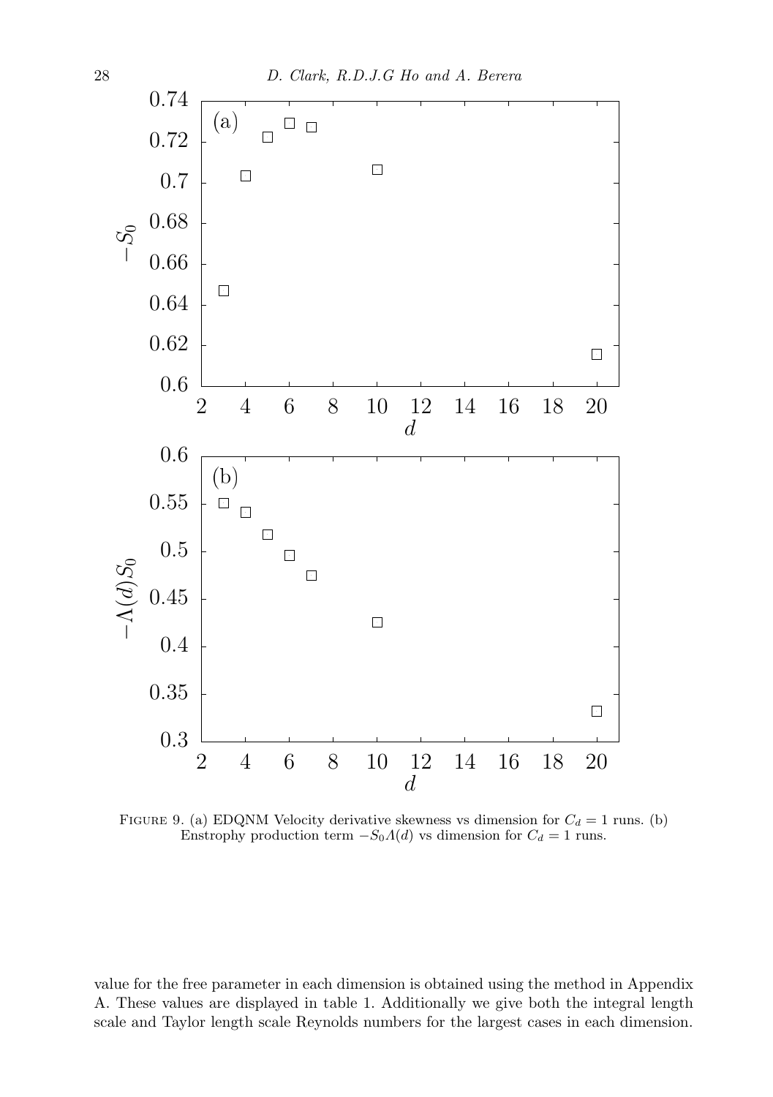

FIGURE 9. (a) EDQNM Velocity derivative skewness vs dimension for  $C_d = 1$  runs. (b) Enstrophy production term  $-S_0A(d)$  vs dimension for  $C_d = 1$  runs.

value for the free parameter in each dimension is obtained using the method in Appendix A. These values are displayed in table 1. Additionally we give both the integral length scale and Taylor length scale Reynolds numbers for the largest cases in each dimension.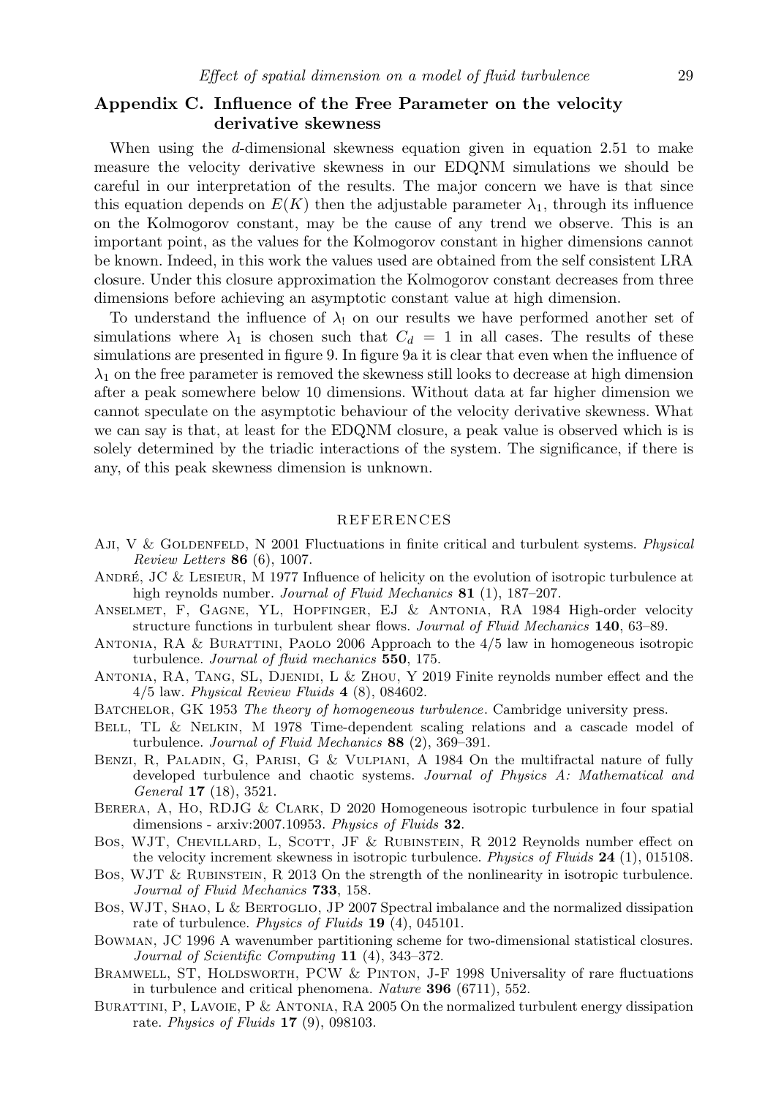#### Appendix C. Influence of the Free Parameter on the velocity derivative skewness

When using the d-dimensional skewness equation given in equation 2.51 to make measure the velocity derivative skewness in our EDQNM simulations we should be careful in our interpretation of the results. The major concern we have is that since this equation depends on  $E(K)$  then the adjustable parameter  $\lambda_1$ , through its influence on the Kolmogorov constant, may be the cause of any trend we observe. This is an important point, as the values for the Kolmogorov constant in higher dimensions cannot be known. Indeed, in this work the values used are obtained from the self consistent LRA closure. Under this closure approximation the Kolmogorov constant decreases from three dimensions before achieving an asymptotic constant value at high dimension.

To understand the influence of  $\lambda_1$  on our results we have performed another set of simulations where  $\lambda_1$  is chosen such that  $C_d = 1$  in all cases. The results of these simulations are presented in figure 9. In figure 9a it is clear that even when the influence of  $\lambda_1$  on the free parameter is removed the skewness still looks to decrease at high dimension after a peak somewhere below 10 dimensions. Without data at far higher dimension we cannot speculate on the asymptotic behaviour of the velocity derivative skewness. What we can say is that, at least for the EDQNM closure, a peak value is observed which is is solely determined by the triadic interactions of the system. The significance, if there is any, of this peak skewness dimension is unknown.

#### REFERENCES

- AJI, V & GOLDENFELD, N 2001 Fluctuations in finite critical and turbulent systems. Physical Review Letters 86 (6), 1007.
- ANDRÉ, JC & LESIEUR, M 1977 Influence of helicity on the evolution of isotropic turbulence at high reynolds number. Journal of Fluid Mechanics 81 (1), 187-207.
- Anselmet, F, Gagne, YL, Hopfinger, EJ & Antonia, RA 1984 High-order velocity structure functions in turbulent shear flows. Journal of Fluid Mechanics 140, 63–89.
- Antonia, RA & Burattini, Paolo 2006 Approach to the 4/5 law in homogeneous isotropic turbulence. Journal of fluid mechanics 550, 175.
- Antonia, RA, Tang, SL, Djenidi, L & Zhou, Y 2019 Finite reynolds number effect and the 4/5 law. Physical Review Fluids 4 (8), 084602.
- BATCHELOR, GK 1953 The theory of homogeneous turbulence. Cambridge university press.
- Bell, TL & Nelkin, M 1978 Time-dependent scaling relations and a cascade model of turbulence. Journal of Fluid Mechanics 88 (2), 369-391.
- Benzi, R, Paladin, G, Parisi, G & Vulpiani, A 1984 On the multifractal nature of fully developed turbulence and chaotic systems. Journal of Physics A: Mathematical and General 17 (18), 3521.
- BERERA, A, HO, RDJG & CLARK, D 2020 Homogeneous isotropic turbulence in four spatial dimensions - arxiv:2007.10953. Physics of Fluids 32.
- Bos, WJT, CHEVILLARD, L, SCOTT, JF & RUBINSTEIN, R 2012 Reynolds number effect on the velocity increment skewness in isotropic turbulence. *Physics of Fluids* 24 (1), 015108.
- Bos, WJT & Rubinstein, R 2013 On the strength of the nonlinearity in isotropic turbulence. Journal of Fluid Mechanics **733**, 158.
- Bos, WJT, SHAO, L & BERTOGLIO, JP 2007 Spectral imbalance and the normalized dissipation rate of turbulence. *Physics of Fluids* **19** (4), 045101.
- Bowman, JC 1996 A wavenumber partitioning scheme for two-dimensional statistical closures. Journal of Scientific Computing 11 (4), 343–372.
- BRAMWELL, ST, HOLDSWORTH, PCW & PINTON, J-F 1998 Universality of rare fluctuations in turbulence and critical phenomena. Nature 396 (6711), 552.
- BURATTINI, P, LAVOIE, P & ANTONIA, RA 2005 On the normalized turbulent energy dissipation rate. Physics of Fluids 17 (9), 098103.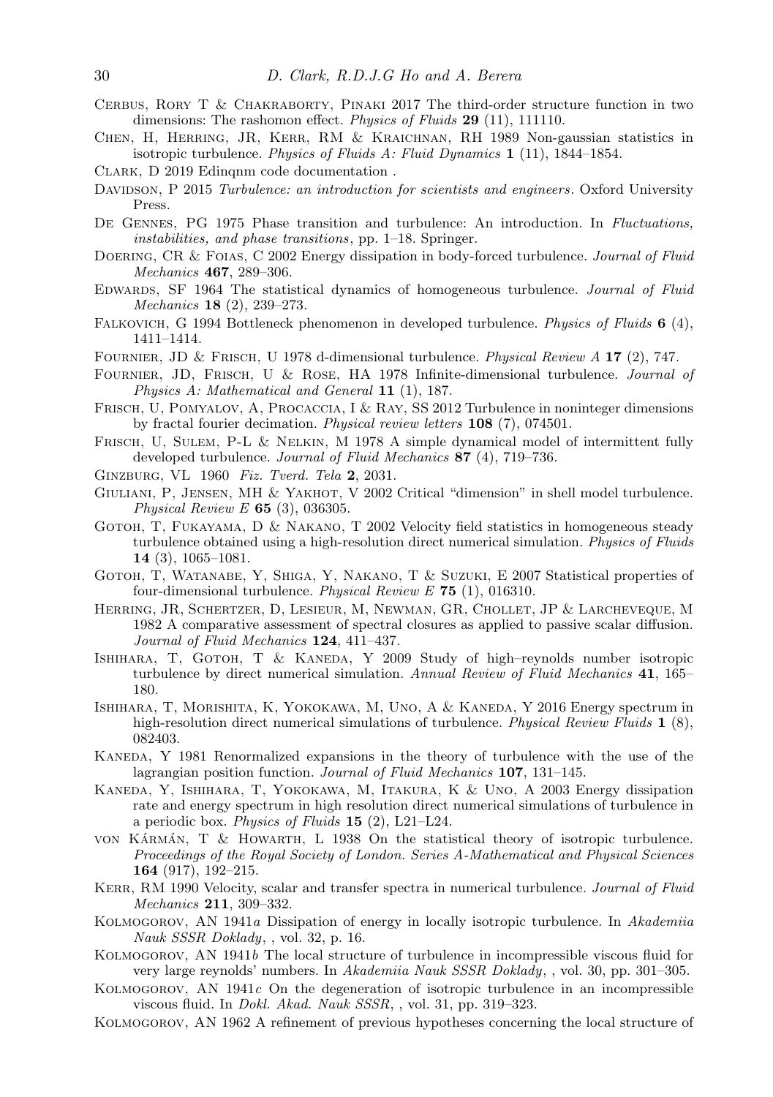- Cerbus, Rory T & Chakraborty, Pinaki 2017 The third-order structure function in two dimensions: The rashomon effect. *Physics of Fluids* 29 (11), 111110.
- Chen, H, Herring, JR, Kerr, RM & Kraichnan, RH 1989 Non-gaussian statistics in isotropic turbulence. Physics of Fluids A: Fluid Dynamics  $1$  (11), 1844–1854.
- CLARK, D 2019 Edingnm code documentation.
- DAVIDSON, P 2015 Turbulence: an introduction for scientists and engineers. Oxford University Press.
- De Gennes, PG 1975 Phase transition and turbulence: An introduction. In Fluctuations, instabilities, and phase transitions, pp. 1–18. Springer.
- DOERING, CR & FOIAS, C 2002 Energy dissipation in body-forced turbulence. Journal of Fluid Mechanics 467, 289–306.
- Edwards, SF 1964 The statistical dynamics of homogeneous turbulence. Journal of Fluid Mechanics 18 (2), 239–273.
- FALKOVICH, G 1994 Bottleneck phenomenon in developed turbulence. Physics of Fluids 6 (4), 1411–1414.
- Fournier, JD & Frisch, U 1978 d-dimensional turbulence. Physical Review A 17 (2), 747.
- Fournier, JD, Frisch, U & Rose, HA 1978 Infinite-dimensional turbulence. Journal of Physics A: Mathematical and General 11 (1), 187.
- Frisch, U, Pomyalov, A, Procaccia, I & Ray, SS 2012 Turbulence in noninteger dimensions by fractal fourier decimation. Physical review letters 108 (7), 074501.
- FRISCH, U, SULEM, P-L & NELKIN, M 1978 A simple dynamical model of intermittent fully developed turbulence. Journal of Fluid Mechanics 87 (4), 719–736.
- GINZBURG, VL 1960 Fiz. Tverd. Tela 2, 2031.
- GIULIANI, P, JENSEN, MH & YAKHOT, V 2002 Critical "dimension" in shell model turbulence. Physical Review  $E$  65 (3), 036305.
- GOTOH, T. FUKAYAMA, D & NAKANO, T 2002 Velocity field statistics in homogeneous steady turbulence obtained using a high-resolution direct numerical simulation. *Physics of Fluids* 14 (3), 1065–1081.
- Gotoh, T, Watanabe, Y, Shiga, Y, Nakano, T & Suzuki, E 2007 Statistical properties of four-dimensional turbulence. Physical Review  $E$  75 (1), 016310.
- Herring, JR, Schertzer, D, Lesieur, M, Newman, GR, Chollet, JP & Larcheveque, M 1982 A comparative assessment of spectral closures as applied to passive scalar diffusion. Journal of Fluid Mechanics 124, 411-437.
- ISHIHARA, T, GOTOH, T & KANEDA, Y 2009 Study of high-reynolds number isotropic turbulence by direct numerical simulation. Annual Review of Fluid Mechanics 41, 165– 180.
- Ishihara, T, Morishita, K, Yokokawa, M, Uno, A & Kaneda, Y 2016 Energy spectrum in high-resolution direct numerical simulations of turbulence. *Physical Review Fluids* 1 (8), 082403.
- Kaneda, Y 1981 Renormalized expansions in the theory of turbulence with the use of the lagrangian position function. Journal of Fluid Mechanics 107, 131-145.
- Kaneda, Y, Ishihara, T, Yokokawa, M, Itakura, K & Uno, A 2003 Energy dissipation rate and energy spectrum in high resolution direct numerical simulations of turbulence in a periodic box. Physics of Fluids  $15$  (2), L21–L24.
- von KÁRMÁN, T  $\&$  HOWARTH, L 1938 On the statistical theory of isotropic turbulence. Proceedings of the Royal Society of London. Series A-Mathematical and Physical Sciences 164 (917), 192–215.
- KERR, RM 1990 Velocity, scalar and transfer spectra in numerical turbulence. Journal of Fluid Mechanics 211, 309–332.
- Kolmogorov, AN 1941a Dissipation of energy in locally isotropic turbulence. In Akademiia Nauk SSSR Doklady, , vol. 32, p. 16.
- Kolmogorov, AN 1941b The local structure of turbulence in incompressible viscous fluid for very large reynolds' numbers. In Akademiia Nauk SSSR Doklady, , vol. 30, pp. 301–305.
- KOLMOGOROV, AN  $1941c$  On the degeneration of isotropic turbulence in an incompressible viscous fluid. In Dokl. Akad. Nauk SSSR, , vol. 31, pp. 319–323.
- Kolmogorov, AN 1962 A refinement of previous hypotheses concerning the local structure of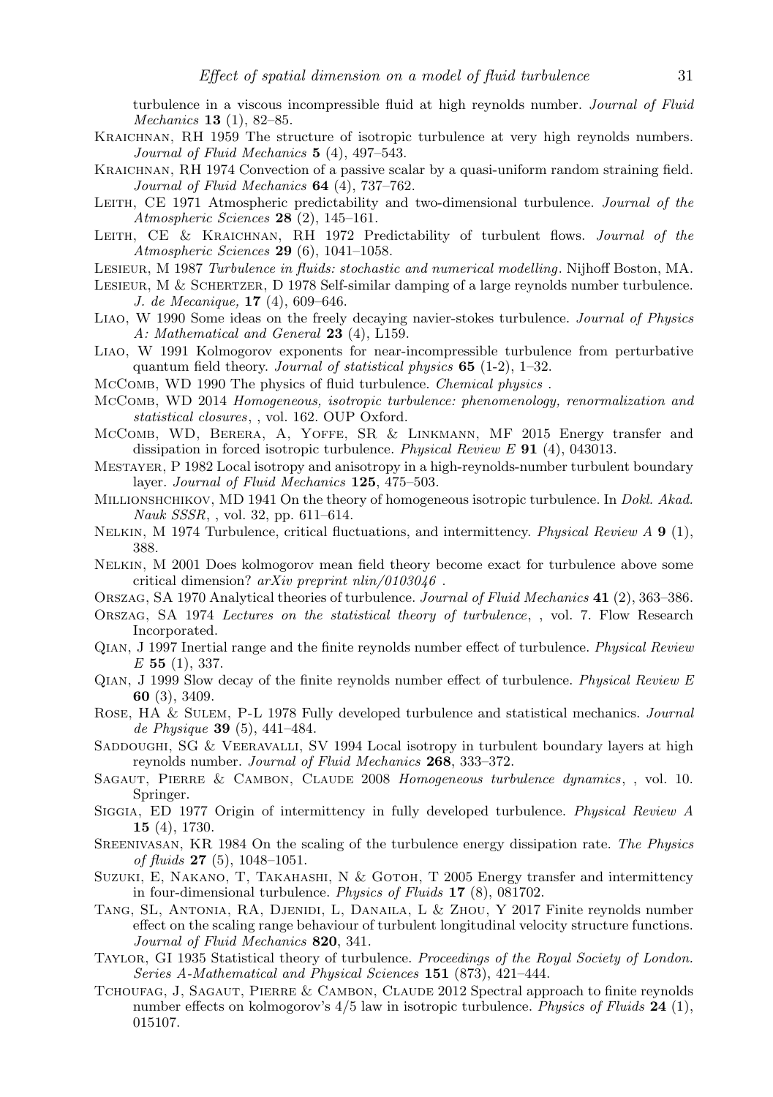turbulence in a viscous incompressible fluid at high reynolds number. Journal of Fluid Mechanics 13 (1), 82–85.

- Kraichnan, RH 1959 The structure of isotropic turbulence at very high reynolds numbers. Journal of Fluid Mechanics 5 (4), 497-543.
- KRAICHNAN, RH 1974 Convection of a passive scalar by a quasi-uniform random straining field. Journal of Fluid Mechanics **64** (4), 737-762.
- LEITH, CE 1971 Atmospheric predictability and two-dimensional turbulence. Journal of the Atmospheric Sciences 28 (2), 145–161.
- LEITH, CE & KRAICHNAN, RH 1972 Predictability of turbulent flows. Journal of the Atmospheric Sciences 29 (6), 1041–1058.
- Lesieur, M 1987 Turbulence in fluids: stochastic and numerical modelling. Nijhoff Boston, MA.
- LESIEUR, M & SCHERTZER, D 1978 Self-similar damping of a large reynolds number turbulence. J. de Mecanique, 17 (4), 609–646.
- Liao, W 1990 Some ideas on the freely decaying navier-stokes turbulence. Journal of Physics A: Mathematical and General 23 (4), L159.
- Liao, W 1991 Kolmogorov exponents for near-incompressible turbulence from perturbative quantum field theory. Journal of statistical physics 65 (1-2), 1–32.
- McComb, WD 1990 The physics of fluid turbulence. Chemical physics .
- McComb, WD 2014 Homogeneous, isotropic turbulence: phenomenology, renormalization and statistical closures, , vol. 162. OUP Oxford.
- McComb, WD, Berera, A, Yoffe, SR & Linkmann, MF 2015 Energy transfer and dissipation in forced isotropic turbulence. Physical Review E 91 (4), 043013.
- Mestayer, P 1982 Local isotropy and anisotropy in a high-reynolds-number turbulent boundary layer. Journal of Fluid Mechanics 125, 475–503.
- MILLIONSHCHIKOV, MD 1941 On the theory of homogeneous isotropic turbulence. In Dokl. Akad. Nauk SSSR, , vol. 32, pp. 611–614.
- NELKIN, M 1974 Turbulence, critical fluctuations, and intermittency. Physical Review A 9 (1), 388.
- Nelkin, M 2001 Does kolmogorov mean field theory become exact for turbulence above some critical dimension?  $arXiv$  preprint  $nlin/0103046$ .
- ORSZAG, SA 1970 Analytical theories of turbulence. Journal of Fluid Mechanics 41 (2), 363-386.
- Orszag, SA 1974 Lectures on the statistical theory of turbulence, , vol. 7. Flow Research Incorporated.
- Qian, J 1997 Inertial range and the finite reynolds number effect of turbulence. Physical Review  $E$  55 (1), 337.
- Qian, J 1999 Slow decay of the finite reynolds number effect of turbulence. Physical Review E 60 (3), 3409.
- Rose, HA & Sulem, P-L 1978 Fully developed turbulence and statistical mechanics. Journal de Physique 39 (5), 441–484.
- SADDOUGHI, SG & VEERAVALLI, SV 1994 Local isotropy in turbulent boundary layers at high reynolds number. Journal of Fluid Mechanics 268, 333–372.
- SAGAUT, PIERRE & CAMBON, CLAUDE 2008 Homogeneous turbulence dynamics, , vol. 10. Springer.
- Siggia, ED 1977 Origin of intermittency in fully developed turbulence. Physical Review A 15 (4), 1730.
- Sreenivasan, KR 1984 On the scaling of the turbulence energy dissipation rate. The Physics of fluids 27 (5), 1048–1051.
- Suzuki, E, Nakano, T, Takahashi, N & Gotoh, T 2005 Energy transfer and intermittency in four-dimensional turbulence. Physics of Fluids 17 (8), 081702.
- Tang, SL, Antonia, RA, Djenidi, L, Danaila, L & Zhou, Y 2017 Finite reynolds number effect on the scaling range behaviour of turbulent longitudinal velocity structure functions. Journal of Fluid Mechanics 820, 341.
- Taylor, GI 1935 Statistical theory of turbulence. Proceedings of the Royal Society of London. Series A-Mathematical and Physical Sciences 151 (873), 421-444.
- Tchoufag, J, Sagaut, Pierre & Cambon, Claude 2012 Spectral approach to finite reynolds number effects on kolmogorov's  $4/5$  law in isotropic turbulence. Physics of Fluids 24 (1), 015107.